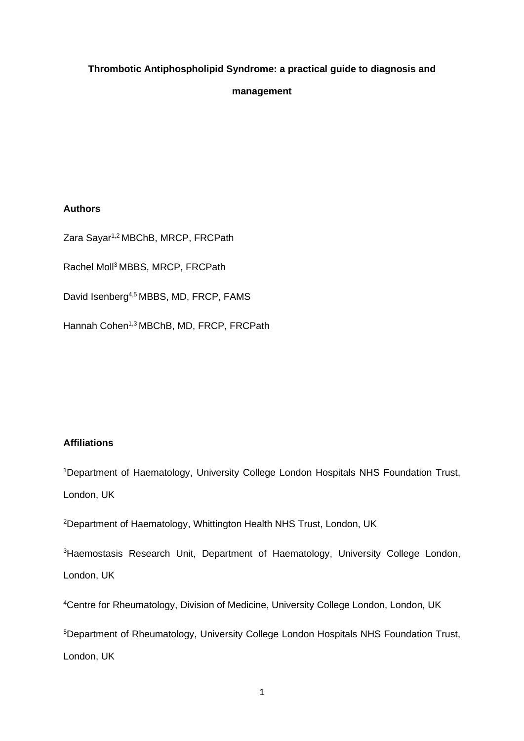# **Thrombotic Antiphospholipid Syndrome: a practical guide to diagnosis and**

## **management**

## **Authors**

Zara Sayar1,2 MBChB, MRCP, FRCPath Rachel Moll<sup>3</sup>MBBS, MRCP, FRCPath David Isenberg<sup>4,5</sup> MBBS, MD, FRCP, FAMS Hannah Cohen<sup>1,3</sup> MBChB, MD, FRCP, FRCPath

# **Affiliations**

<sup>1</sup>Department of Haematology, University College London Hospitals NHS Foundation Trust, London, UK

<sup>2</sup>Department of Haematology, Whittington Health NHS Trust, London, UK

<sup>3</sup>Haemostasis Research Unit, Department of Haematology, University College London, London, UK

<sup>4</sup>Centre for Rheumatology, Division of Medicine, University College London, London, UK

<sup>5</sup>Department of Rheumatology, University College London Hospitals NHS Foundation Trust, London, UK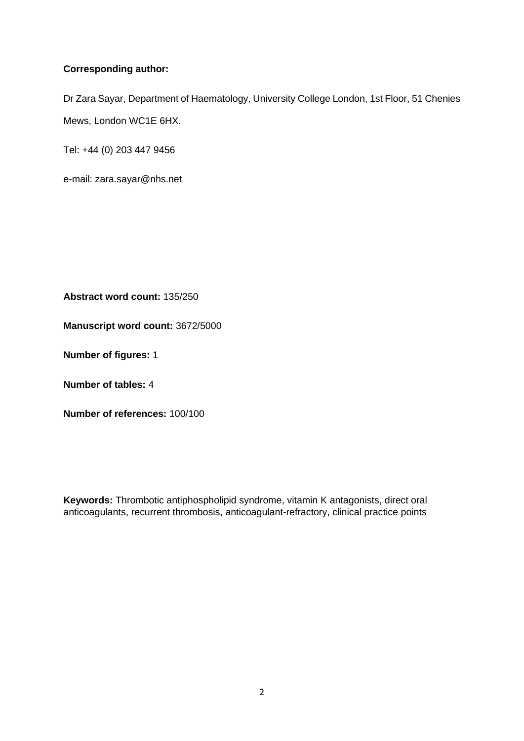# **Corresponding author:**

Dr Zara Sayar, Department of Haematology, University College London, 1st Floor, 51 Chenies Mews, London WC1E 6HX.

Tel: +44 (0) 203 447 9456

e-mail: zara.sayar@nhs.net

**Abstract word count:** 135/250

**Manuscript word count:** 3672/5000

**Number of figures:** 1

**Number of tables:** 4

**Number of references:** 100/100

**Keywords:** Thrombotic antiphospholipid syndrome, vitamin K antagonists, direct oral anticoagulants, recurrent thrombosis, anticoagulant-refractory, clinical practice points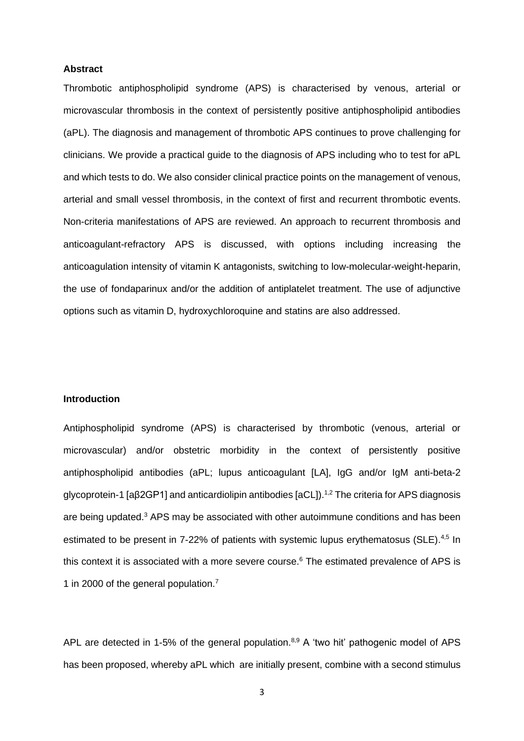#### **Abstract**

Thrombotic antiphospholipid syndrome (APS) is characterised by venous, arterial or microvascular thrombosis in the context of persistently positive antiphospholipid antibodies (aPL). The diagnosis and management of thrombotic APS continues to prove challenging for clinicians. We provide a practical guide to the diagnosis of APS including who to test for aPL and which tests to do. We also consider clinical practice points on the management of venous, arterial and small vessel thrombosis, in the context of first and recurrent thrombotic events. Non-criteria manifestations of APS are reviewed. An approach to recurrent thrombosis and anticoagulant-refractory APS is discussed, with options including increasing the anticoagulation intensity of vitamin K antagonists, switching to low-molecular-weight-heparin, the use of fondaparinux and/or the addition of antiplatelet treatment. The use of adjunctive options such as vitamin D, hydroxychloroquine and statins are also addressed.

### **Introduction**

Antiphospholipid syndrome (APS) is characterised by thrombotic (venous, arterial or microvascular) and/or obstetric morbidity in the context of persistently positive antiphospholipid antibodies (aPL; lupus anticoagulant [LA], IgG and/or IgM anti-beta-2 glycoprotein-1 [aβ2GP1] and anticardiolipin antibodies [aCL]).<sup>1,2</sup> The criteria for APS diagnosis are being updated.<sup>3</sup> APS may be associated with other autoimmune conditions and has been estimated to be present in 7-22% of patients with systemic lupus erythematosus (SLE).<sup>4,5</sup> In this context it is associated with a more severe course.<sup>6</sup> The estimated prevalence of APS is 1 in 2000 of the general population. 7

APL are detected in 1-5% of the general population.<sup>8,9</sup> A 'two hit' pathogenic model of APS has been proposed, whereby aPL which are initially present, combine with a second stimulus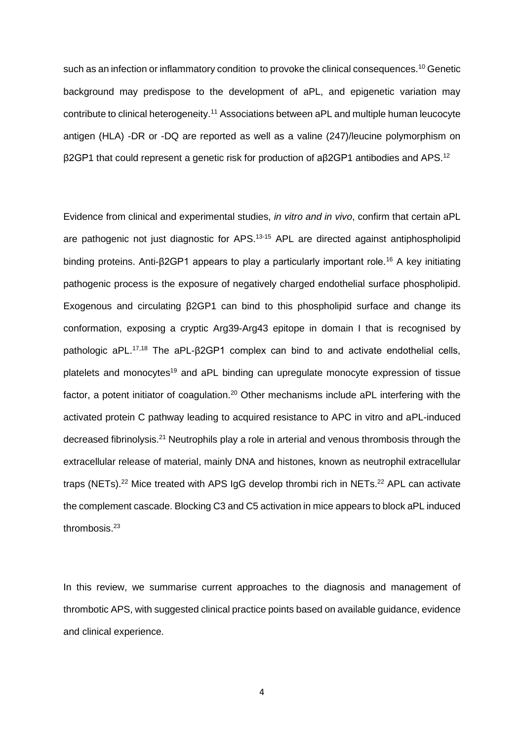such as an infection or inflammatory condition to provoke the clinical consequences.<sup>10</sup> Genetic background may predispose to the development of aPL, and epigenetic variation may contribute to clinical heterogeneity.<sup>11</sup> Associations between aPL and multiple human leucocyte antigen (HLA) -DR or -DQ are reported as well as a valine (247)/leucine polymorphism on  $β$ 2GP1 that could represent a genetic risk for production of a $β$ 2GP1 antibodies and APS.<sup>12</sup>

Evidence from clinical and experimental studies, *in vitro and in vivo*, confirm that certain aPL are pathogenic not just diagnostic for APS.<sup>13-15</sup> APL are directed against antiphospholipid binding proteins. Anti-β2GP1 appears to play a particularly important role.<sup>16</sup> A key initiating pathogenic process is the exposure of negatively charged endothelial surface phospholipid. Exogenous and circulating β2GP1 can bind to this phospholipid surface and change its conformation, exposing a cryptic Arg39-Arg43 epitope in domain I that is recognised by pathologic aPL.17,18 The aPL-β2GP1 complex can bind to and activate endothelial cells, platelets and monocytes<sup>19</sup> and aPL binding can upregulate monocyte expression of tissue factor, a potent initiator of coagulation.<sup>20</sup> Other mechanisms include  $aPL$  interfering with the activated protein C pathway leading to acquired resistance to APC in vitro and aPL-induced decreased fibrinolysis.<sup>21</sup> Neutrophils play a role in arterial and venous thrombosis through the extracellular release of material, mainly DNA and histones, known as neutrophil extracellular traps (NETs).<sup>22</sup> Mice treated with APS IgG develop thrombi rich in NETs.<sup>22</sup> APL can activate the complement cascade. Blocking C3 and C5 activation in mice appears to block aPL induced thrombosis.<sup>23</sup>

In this review, we summarise current approaches to the diagnosis and management of thrombotic APS, with suggested clinical practice points based on available guidance, evidence and clinical experience.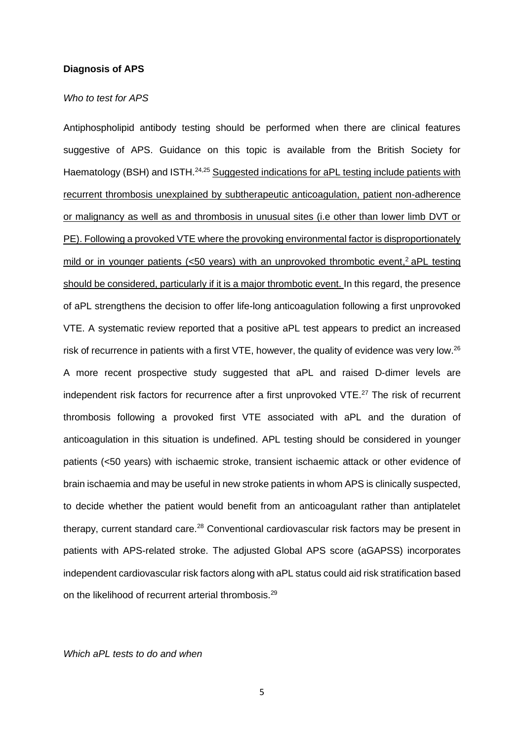### **Diagnosis of APS**

#### *Who to test for APS*

Antiphospholipid antibody testing should be performed when there are clinical features suggestive of APS. Guidance on this topic is available from the British Society for Haematology (BSH) and ISTH.<sup>24,25</sup> Suggested indications for aPL testing include patients with recurrent thrombosis unexplained by subtherapeutic anticoagulation, patient non-adherence or malignancy as well as and thrombosis in unusual sites (i.e other than lower limb DVT or PE). Following a provoked VTE where the provoking environmental factor is disproportionately mild or in younger patients (<50 years) with an unprovoked thrombotic event,<sup>2</sup> aPL testing should be considered, particularly if it is a major thrombotic event. In this regard, the presence of aPL strengthens the decision to offer life-long anticoagulation following a first unprovoked VTE. A systematic review reported that a positive aPL test appears to predict an increased risk of recurrence in patients with a first VTE, however, the quality of evidence was very low.<sup>26</sup> A more recent prospective study suggested that aPL and raised D-dimer levels are independent risk factors for recurrence after a first unprovoked VTE.<sup>27</sup> The risk of recurrent thrombosis following a provoked first VTE associated with aPL and the duration of anticoagulation in this situation is undefined. APL testing should be considered in younger patients (<50 years) with ischaemic stroke, transient ischaemic attack or other evidence of brain ischaemia and may be useful in new stroke patients in whom APS is clinically suspected, to decide whether the patient would benefit from an anticoagulant rather than antiplatelet therapy, current standard care.<sup>28</sup> Conventional cardiovascular risk factors may be present in patients with APS-related stroke. The adjusted Global APS score (aGAPSS) incorporates independent cardiovascular risk factors along with aPL status could aid risk stratification based on the likelihood of recurrent arterial thrombosis.<sup>29</sup>

*Which aPL tests to do and when*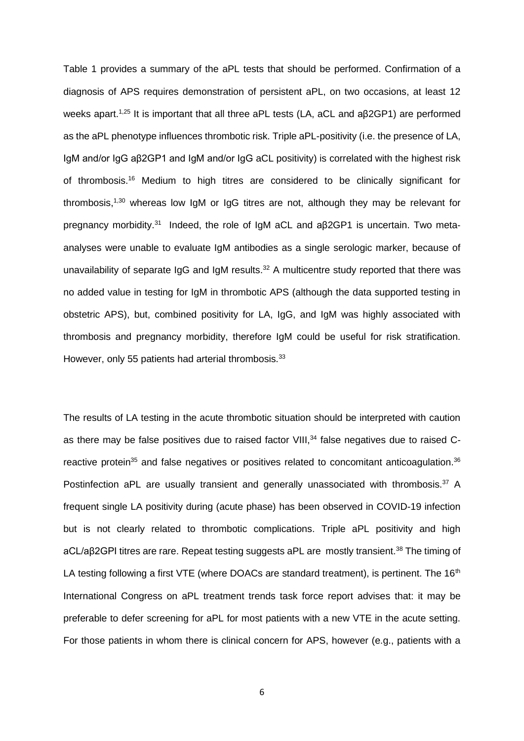Table 1 provides a summary of the aPL tests that should be performed. Confirmation of a diagnosis of APS requires demonstration of persistent aPL, on two occasions, at least 12 weeks apart.<sup>1,25</sup> It is important that all three aPL tests (LA, aCL and aβ2GP1) are performed as the aPL phenotype influences thrombotic risk. Triple aPL-positivity (i.e. the presence of LA, IgM and/or IgG aβ2GP1 and IgM and/or IgG aCL positivity) is correlated with the highest risk of thrombosis.<sup>16</sup> Medium to high titres are considered to be clinically significant for thrombosis,<sup>1,30</sup> whereas low IgM or IgG titres are not, although they may be relevant for pregnancy morbidity.<sup>31</sup> Indeed, the role of IgM aCL and aβ2GP1 is uncertain. Two metaanalyses were unable to evaluate IgM antibodies as a single serologic marker, because of unavailability of separate IgG and IgM results. $32$  A multicentre study reported that there was no added value in testing for IgM in thrombotic APS (although the data supported testing in obstetric APS), but, combined positivity for LA, IgG, and IgM was highly associated with thrombosis and pregnancy morbidity, therefore IgM could be useful for risk stratification. However, only 55 patients had arterial thrombosis.<sup>33</sup>

The results of LA testing in the acute thrombotic situation should be interpreted with caution as there may be false positives due to raised factor VIII,<sup>34</sup> false negatives due to raised Creactive protein<sup>35</sup> and false negatives or positives related to concomitant anticoagulation.<sup>36</sup> Postinfection aPL are usually transient and generally unassociated with thrombosis.<sup>37</sup> A frequent single LA positivity during (acute phase) has been observed in COVID-19 infection but is not clearly related to thrombotic complications. Triple aPL positivity and high aCL/aβ2GPI titres are rare. Repeat testing suggests aPL are mostly transient.<sup>38</sup> The timing of LA testing following a first VTE (where DOACs are standard treatment), is pertinent. The 16<sup>th</sup> International Congress on aPL treatment trends task force report advises that: it may be preferable to defer screening for aPL for most patients with a new VTE in the acute setting. For those patients in whom there is clinical concern for APS, however (e.g., patients with a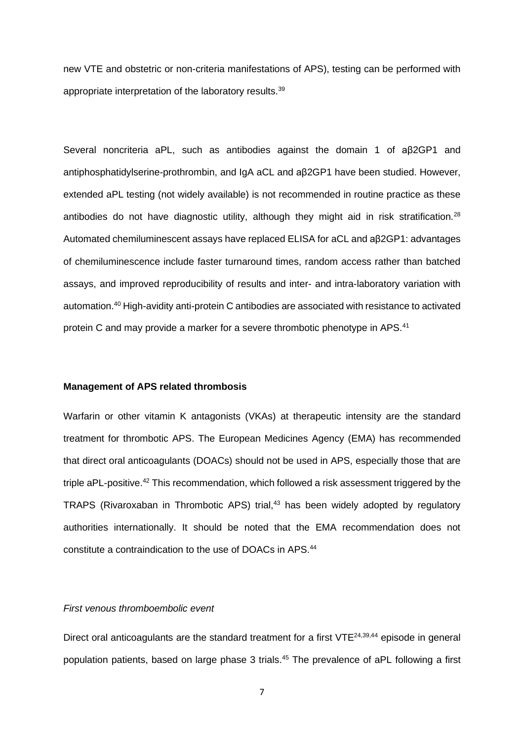new VTE and obstetric or non-criteria manifestations of APS), testing can be performed with appropriate interpretation of the laboratory results.<sup>39</sup>

Several noncriteria aPL, such as antibodies against the domain 1 of aβ2GP1 and antiphosphatidylserine-prothrombin, and IgA aCL and aβ2GP1 have been studied. However, extended aPL testing (not widely available) is not recommended in routine practice as these antibodies do not have diagnostic utility, although they might aid in risk stratification.<sup>28</sup> Automated chemiluminescent assays have replaced ELISA for aCL and aβ2GP1: advantages of chemiluminescence include faster turnaround times, random access rather than batched assays, and improved reproducibility of results and inter- and intra-laboratory variation with automation.<sup>40</sup> High-avidity anti-protein C antibodies are associated with resistance to activated protein C and may provide a marker for a severe thrombotic phenotype in APS.<sup>41</sup>

### **Management of APS related thrombosis**

Warfarin or other vitamin K antagonists (VKAs) at therapeutic intensity are the standard treatment for thrombotic APS. The European Medicines Agency (EMA) has recommended that direct oral anticoagulants (DOACs) should not be used in APS, especially those that are triple aPL-positive.<sup>42</sup> This recommendation, which followed a risk assessment triggered by the TRAPS (Rivaroxaban in Thrombotic APS) trial,<sup>43</sup> has been widely adopted by regulatory authorities internationally. It should be noted that the EMA recommendation does not constitute a contraindication to the use of DOACs in APS.<sup>44</sup>

## *First venous thromboembolic event*

Direct oral anticoagulants are the standard treatment for a first VTE<sup>24,39,44</sup> episode in general population patients, based on large phase 3 trials. <sup>45</sup> The prevalence of aPL following a first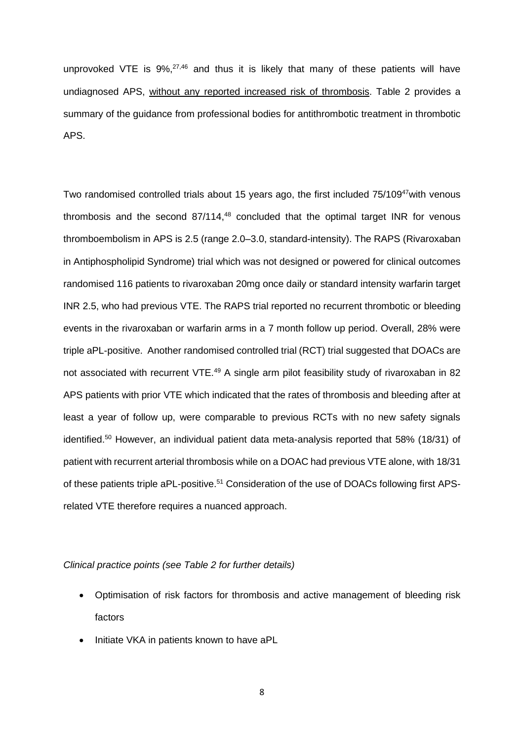unprovoked VTE is  $9\%,^{27,46}$  and thus it is likely that many of these patients will have undiagnosed APS, without any reported increased risk of thrombosis. Table 2 provides a summary of the guidance from professional bodies for antithrombotic treatment in thrombotic APS.

Two randomised controlled trials about 15 years ago, the first included 75/109<sup>47</sup> with venous thrombosis and the second 87/114, <sup>48</sup> concluded that the optimal target INR for venous thromboembolism in APS is 2.5 (range 2.0–3.0, standard-intensity). The RAPS (Rivaroxaban in Antiphospholipid Syndrome) trial which was not designed or powered for clinical outcomes randomised 116 patients to rivaroxaban 20mg once daily or standard intensity warfarin target INR 2.5, who had previous VTE. The RAPS trial reported no recurrent thrombotic or bleeding events in the rivaroxaban or warfarin arms in a 7 month follow up period. Overall, 28% were triple aPL-positive. Another randomised controlled trial (RCT) trial suggested that DOACs are not associated with recurrent VTE.<sup>49</sup> A single arm pilot feasibility study of rivaroxaban in 82 APS patients with prior VTE which indicated that the rates of thrombosis and bleeding after at least a year of follow up, were comparable to previous RCTs with no new safety signals identified.<sup>50</sup> However, an individual patient data meta-analysis reported that 58% (18/31) of patient with recurrent arterial thrombosis while on a DOAC had previous VTE alone, with 18/31 of these patients triple aPL-positive.<sup>51</sup> Consideration of the use of DOACs following first APSrelated VTE therefore requires a nuanced approach.

## *Clinical practice points (see Table 2 for further details)*

- Optimisation of risk factors for thrombosis and active management of bleeding risk factors
- Initiate VKA in patients known to have aPL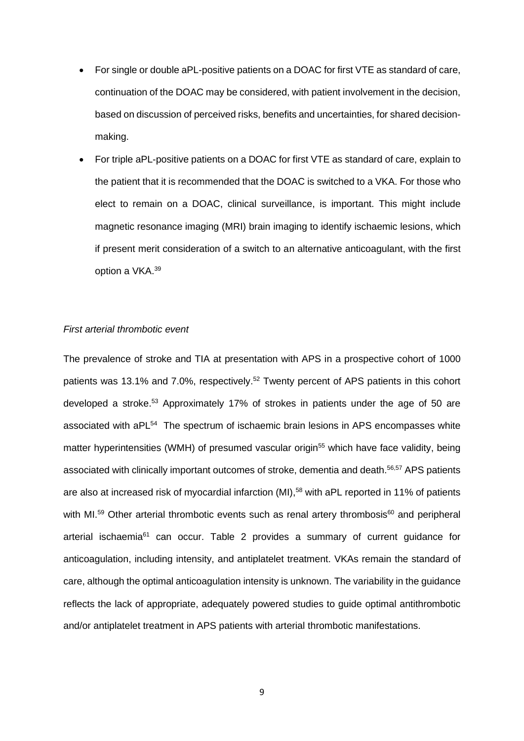- For single or double aPL-positive patients on a DOAC for first VTE as standard of care, continuation of the DOAC may be considered, with patient involvement in the decision, based on discussion of perceived risks, benefits and uncertainties, for shared decisionmaking.
- For triple aPL-positive patients on a DOAC for first VTE as standard of care, explain to the patient that it is recommended that the DOAC is switched to a VKA. For those who elect to remain on a DOAC, clinical surveillance, is important. This might include magnetic resonance imaging (MRI) brain imaging to identify ischaemic lesions, which if present merit consideration of a switch to an alternative anticoagulant, with the first option a VKA.<sup>39</sup>

## *First arterial thrombotic event*

The prevalence of stroke and TIA at presentation with APS in a prospective cohort of 1000 patients was 13.1% and 7.0%, respectively.<sup>52</sup> Twenty percent of APS patients in this cohort developed a stroke. <sup>53</sup> Approximately 17% of strokes in patients under the age of 50 are associated with aPL<sup>54</sup> The spectrum of ischaemic brain lesions in APS encompasses white matter hyperintensities (WMH) of presumed vascular origin<sup>55</sup> which have face validity, being associated with clinically important outcomes of stroke, dementia and death. 56,57 APS patients are also at increased risk of myocardial infarction (MI), <sup>58</sup> with aPL reported in 11% of patients with MI. $59$  Other arterial thrombotic events such as renal artery thrombosis $60$  and peripheral arterial ischaemia<sup>61</sup> can occur. Table 2 provides a summary of current quidance for anticoagulation, including intensity, and antiplatelet treatment. VKAs remain the standard of care, although the optimal anticoagulation intensity is unknown. The variability in the guidance reflects the lack of appropriate, adequately powered studies to guide optimal antithrombotic and/or antiplatelet treatment in APS patients with arterial thrombotic manifestations.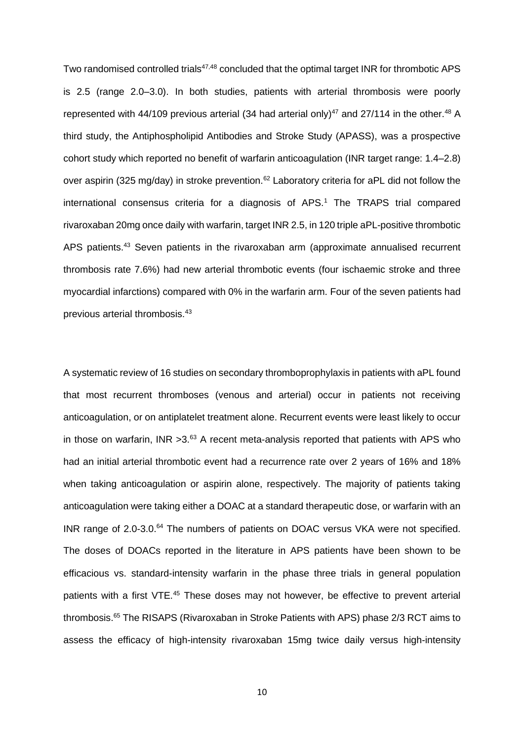Two randomised controlled trials<sup>47,48</sup> concluded that the optimal target INR for thrombotic APS is 2.5 (range 2.0–3.0). In both studies, patients with arterial thrombosis were poorly represented with 44/109 previous arterial (34 had arterial only)<sup>47</sup> and 27/114 in the other.<sup>48</sup> A third study, the Antiphospholipid Antibodies and Stroke Study (APASS), was a prospective cohort study which reported no benefit of warfarin anticoagulation (INR target range: 1.4–2.8) over aspirin (325 mg/day) in stroke prevention.<sup>62</sup> Laboratory criteria for aPL did not follow the international consensus criteria for a diagnosis of APS.<sup>1</sup> The TRAPS trial compared rivaroxaban 20mg once daily with warfarin, target INR 2.5, in 120 triple aPL-positive thrombotic APS patients.<sup>43</sup> Seven patients in the rivaroxaban arm (approximate annualised recurrent thrombosis rate 7.6%) had new arterial thrombotic events (four ischaemic stroke and three myocardial infarctions) compared with 0% in the warfarin arm. Four of the seven patients had previous arterial thrombosis.<sup>43</sup>

A systematic review of 16 studies on secondary thromboprophylaxis in patients with aPL found that most recurrent thromboses (venous and arterial) occur in patients not receiving anticoagulation, or on antiplatelet treatment alone. Recurrent events were least likely to occur in those on warfarin,  $INR > 3.63$  A recent meta-analysis reported that patients with APS who had an initial arterial thrombotic event had a recurrence rate over 2 years of 16% and 18% when taking anticoagulation or aspirin alone, respectively. The majority of patients taking anticoagulation were taking either a DOAC at a standard therapeutic dose, or warfarin with an INR range of 2.0-3.0.<sup>64</sup> The numbers of patients on DOAC versus VKA were not specified. The doses of DOACs reported in the literature in APS patients have been shown to be efficacious vs. standard-intensity warfarin in the phase three trials in general population patients with a first VTE.<sup>45</sup> These doses may not however, be effective to prevent arterial thrombosis. <sup>65</sup> The RISAPS (Rivaroxaban in Stroke Patients with APS) phase 2/3 RCT aims to assess the efficacy of high-intensity rivaroxaban 15mg twice daily versus high-intensity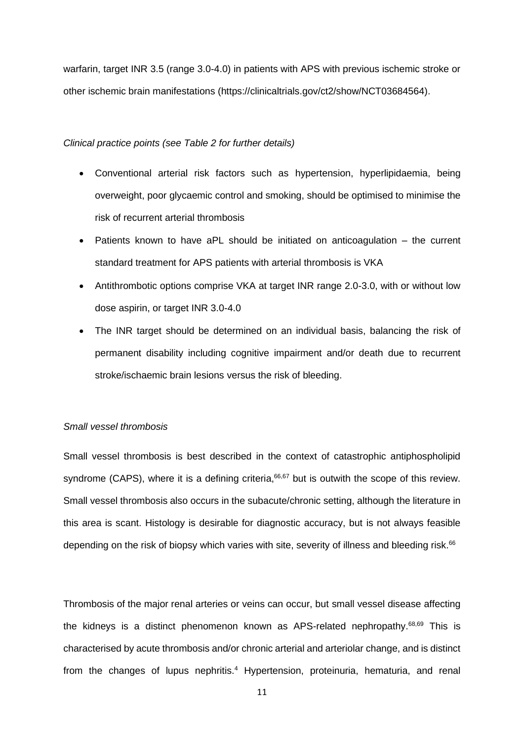warfarin, target INR 3.5 (range 3.0-4.0) in patients with APS with previous ischemic stroke or other ischemic brain manifestations (https://clinicaltrials.gov/ct2/show/NCT03684564).

### *Clinical practice points (see Table 2 for further details)*

- Conventional arterial risk factors such as hypertension, hyperlipidaemia, being overweight, poor glycaemic control and smoking, should be optimised to minimise the risk of recurrent arterial thrombosis
- Patients known to have aPL should be initiated on anticoagulation the current standard treatment for APS patients with arterial thrombosis is VKA
- Antithrombotic options comprise VKA at target INR range 2.0-3.0, with or without low dose aspirin, or target INR 3.0-4.0
- The INR target should be determined on an individual basis, balancing the risk of permanent disability including cognitive impairment and/or death due to recurrent stroke/ischaemic brain lesions versus the risk of bleeding.

#### *Small vessel thrombosis*

Small vessel thrombosis is best described in the context of catastrophic antiphospholipid syndrome (CAPS), where it is a defining criteria, <sup>66,67</sup> but is outwith the scope of this review. Small vessel thrombosis also occurs in the subacute/chronic setting, although the literature in this area is scant. Histology is desirable for diagnostic accuracy, but is not always feasible depending on the risk of biopsy which varies with site, severity of illness and bleeding risk.<sup>66</sup>

Thrombosis of the major renal arteries or veins can occur, but small vessel disease affecting the kidneys is a distinct phenomenon known as APS-related nephropathy.<sup>68,69</sup> This is characterised by acute thrombosis and/or chronic arterial and arteriolar change, and is distinct from the changes of lupus nephritis.<sup>4</sup> Hypertension, proteinuria, hematuria, and renal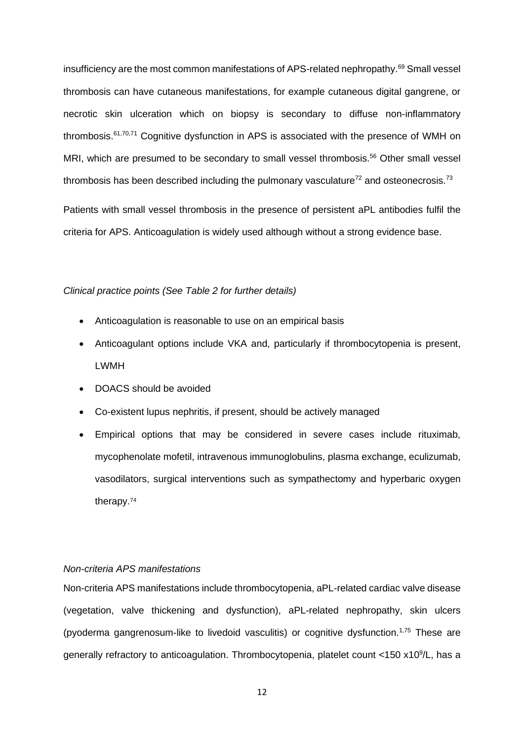insufficiency are the most common manifestations of APS-related nephropathy.<sup>69</sup> Small vessel thrombosis can have cutaneous manifestations, for example cutaneous digital gangrene, or necrotic skin ulceration which on biopsy is secondary to diffuse non-inflammatory thrombosis.61,70,71 Cognitive dysfunction in APS is associated with the presence of WMH on MRI, which are presumed to be secondary to small vessel thrombosis.<sup>56</sup> Other small vessel thrombosis has been described including the pulmonary vasculature<sup> $72$ </sup> and osteonecrosis.<sup>73</sup>

Patients with small vessel thrombosis in the presence of persistent aPL antibodies fulfil the criteria for APS. Anticoagulation is widely used although without a strong evidence base.

#### *Clinical practice points (See Table 2 for further details)*

- Anticoagulation is reasonable to use on an empirical basis
- Anticoagulant options include VKA and, particularly if thrombocytopenia is present, LWMH
- DOACS should be avoided
- Co-existent lupus nephritis, if present, should be actively managed
- Empirical options that may be considered in severe cases include rituximab, mycophenolate mofetil, intravenous immunoglobulins, plasma exchange, eculizumab, vasodilators, surgical interventions such as sympathectomy and hyperbaric oxygen therapy.<sup>74</sup>

## *Non-criteria APS manifestations*

Non-criteria APS manifestations include thrombocytopenia, aPL-related cardiac valve disease (vegetation, valve thickening and dysfunction), aPL-related nephropathy, skin ulcers (pyoderma gangrenosum-like to livedoid vasculitis) or cognitive dysfunction.1,75 These are generally refractory to anticoagulation. Thrombocytopenia, platelet count <150 x10<sup>9</sup>/L, has a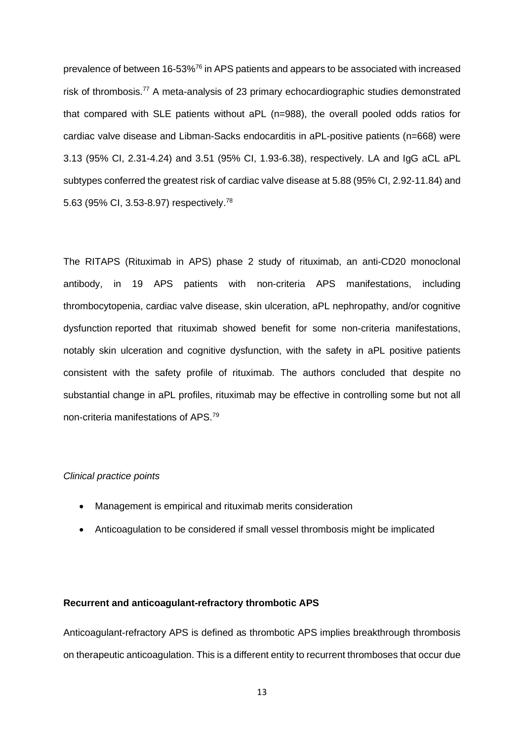prevalence of between 16-53%<sup>76</sup> in APS patients and appears to be associated with increased risk of thrombosis.<sup>77</sup> A meta-analysis of 23 primary echocardiographic studies demonstrated that compared with SLE patients without aPL (n=988), the overall pooled odds ratios for cardiac valve disease and Libman-Sacks endocarditis in aPL-positive patients (n=668) were 3.13 (95% CI, 2.31-4.24) and 3.51 (95% CI, 1.93-6.38), respectively. LA and IgG aCL aPL subtypes conferred the greatest risk of cardiac valve disease at 5.88 (95% CI, 2.92-11.84) and 5.63 (95% CI, 3.53-8.97) respectively.<sup>78</sup>

The RITAPS (Rituximab in APS) phase 2 study of rituximab, an anti-CD20 monoclonal antibody, in 19 APS patients with non-criteria APS manifestations, including thrombocytopenia, cardiac valve disease, skin ulceration, aPL nephropathy, and/or cognitive dysfunction reported that rituximab showed benefit for some non-criteria manifestations, notably skin ulceration and cognitive dysfunction, with the safety in aPL positive patients consistent with the safety profile of rituximab. The authors concluded that despite no substantial change in aPL profiles, rituximab may be effective in controlling some but not all non‐criteria manifestations of APS.<sup>79</sup>

### *Clinical practice points*

- Management is empirical and rituximab merits consideration
- Anticoagulation to be considered if small vessel thrombosis might be implicated

## **Recurrent and anticoagulant-refractory thrombotic APS**

Anticoagulant-refractory APS is defined as thrombotic APS implies breakthrough thrombosis on therapeutic anticoagulation. This is a different entity to recurrent thromboses that occur due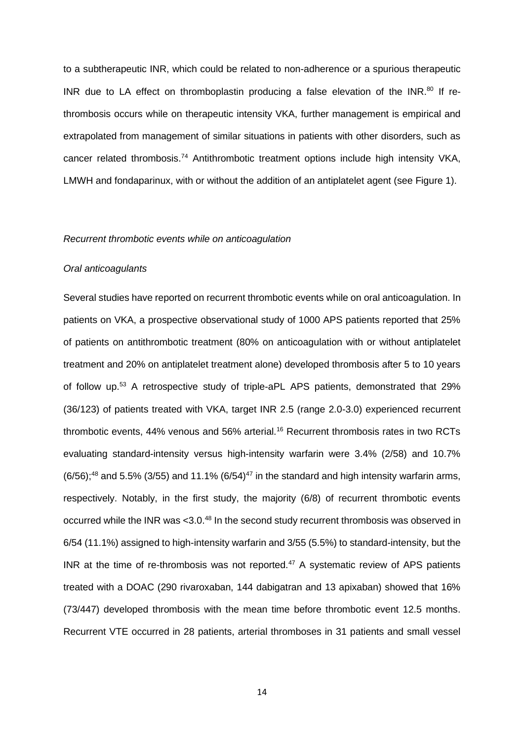to a subtherapeutic INR, which could be related to non-adherence or a spurious therapeutic INR due to LA effect on thromboplastin producing a false elevation of the INR.<sup>80</sup> If rethrombosis occurs while on therapeutic intensity VKA, further management is empirical and extrapolated from management of similar situations in patients with other disorders, such as cancer related thrombosis.<sup>74</sup> Antithrombotic treatment options include high intensity VKA, LMWH and fondaparinux, with or without the addition of an antiplatelet agent (see Figure 1).

#### *Recurrent thrombotic events while on anticoagulation*

### *Oral anticoagulants*

Several studies have reported on recurrent thrombotic events while on oral anticoagulation. In patients on VKA, a prospective observational study of 1000 APS patients reported that 25% of patients on antithrombotic treatment (80% on anticoagulation with or without antiplatelet treatment and 20% on antiplatelet treatment alone) developed thrombosis after 5 to 10 years of follow up.<sup>53</sup> A retrospective study of triple-aPL APS patients, demonstrated that 29% (36/123) of patients treated with VKA, target INR 2.5 (range 2.0-3.0) experienced recurrent thrombotic events, 44% venous and 56% arterial.<sup>16</sup> Recurrent thrombosis rates in two RCTs evaluating standard-intensity versus high-intensity warfarin were 3.4% (2/58) and 10.7%  $(6/56)$ ;<sup>48</sup> and 5.5% (3/55) and 11.1% (6/54)<sup>47</sup> in the standard and high intensity warfarin arms, respectively. Notably, in the first study, the majority (6/8) of recurrent thrombotic events occurred while the INR was < 3.0.<sup>48</sup> In the second study recurrent thrombosis was observed in 6/54 (11.1%) assigned to high-intensity warfarin and 3/55 (5.5%) to standard-intensity, but the INR at the time of re-thrombosis was not reported.<sup>47</sup> A systematic review of APS patients treated with a DOAC (290 rivaroxaban, 144 dabigatran and 13 apixaban) showed that 16% (73/447) developed thrombosis with the mean time before thrombotic event 12.5 months. Recurrent VTE occurred in 28 patients, arterial thromboses in 31 patients and small vessel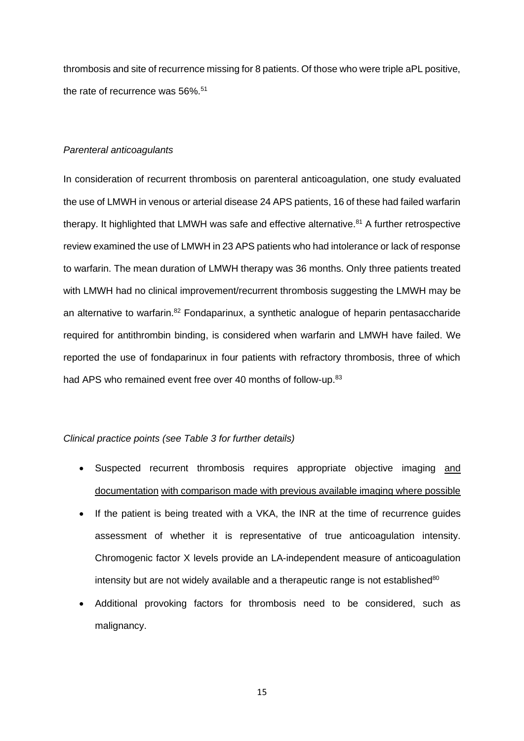thrombosis and site of recurrence missing for 8 patients. Of those who were triple aPL positive, the rate of recurrence was 56%.<sup>51</sup>

### *Parenteral anticoagulants*

In consideration of recurrent thrombosis on parenteral anticoagulation, one study evaluated the use of LMWH in venous or arterial disease 24 APS patients, 16 of these had failed warfarin therapy. It highlighted that LMWH was safe and effective alternative.<sup>81</sup> A further retrospective review examined the use of LMWH in 23 APS patients who had intolerance or lack of response to warfarin. The mean duration of LMWH therapy was 36 months. Only three patients treated with LMWH had no clinical improvement/recurrent thrombosis suggesting the LMWH may be an alternative to warfarin.<sup>82</sup> Fondaparinux, a synthetic analogue of heparin pentasaccharide required for antithrombin binding, is considered when warfarin and LMWH have failed. We reported the use of fondaparinux in four patients with refractory thrombosis, three of which had APS who remained event free over 40 months of follow-up.<sup>83</sup>

## *Clinical practice points (see Table 3 for further details)*

- Suspected recurrent thrombosis requires appropriate objective imaging and documentation with comparison made with previous available imaging where possible
- If the patient is being treated with a VKA, the INR at the time of recurrence guides assessment of whether it is representative of true anticoagulation intensity. Chromogenic factor X levels provide an LA-independent measure of anticoagulation intensity but are not widely available and a therapeutic range is not established<sup>80</sup>
- Additional provoking factors for thrombosis need to be considered, such as malignancy.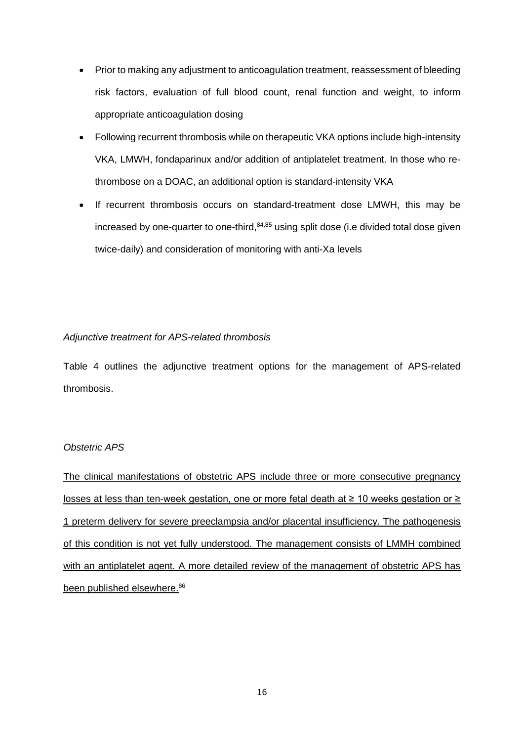- Prior to making any adjustment to anticoagulation treatment, reassessment of bleeding risk factors, evaluation of full blood count, renal function and weight, to inform appropriate anticoagulation dosing
- Following recurrent thrombosis while on therapeutic VKA options include high-intensity VKA, LMWH, fondaparinux and/or addition of antiplatelet treatment. In those who rethrombose on a DOAC, an additional option is standard-intensity VKA
- If recurrent thrombosis occurs on standard-treatment dose LMWH, this may be increased by one-quarter to one-third,<sup>84,85</sup> using split dose (i.e divided total dose given twice-daily) and consideration of monitoring with anti-Xa levels

## *Adjunctive treatment for APS-related thrombosis*

Table 4 outlines the adjunctive treatment options for the management of APS-related thrombosis.

## *Obstetric APS*

The clinical manifestations of obstetric APS include three or more consecutive pregnancy losses at less than ten-week gestation, one or more fetal death at ≥ 10 weeks gestation or ≥ 1 preterm delivery for severe preeclampsia and/or placental insufficiency. The pathogenesis of this condition is not yet fully understood. The management consists of LMMH combined with an antiplatelet agent. A more detailed review of the management of obstetric APS has been published elsewhere.<sup>86</sup>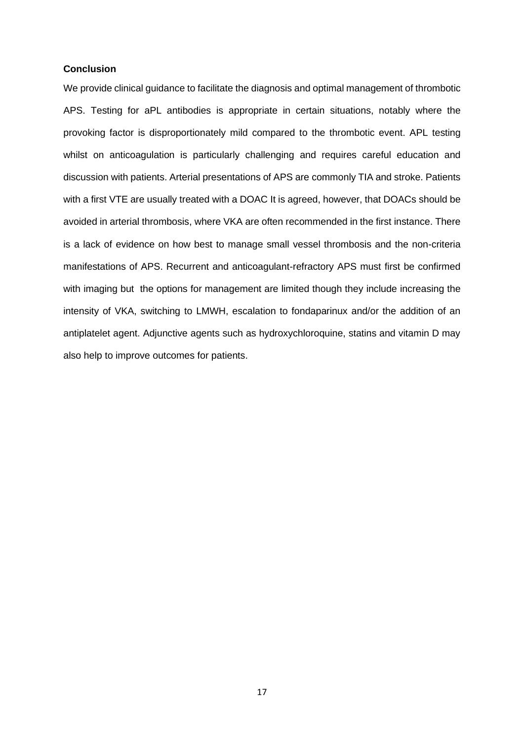### **Conclusion**

We provide clinical guidance to facilitate the diagnosis and optimal management of thrombotic APS. Testing for aPL antibodies is appropriate in certain situations, notably where the provoking factor is disproportionately mild compared to the thrombotic event. APL testing whilst on anticoagulation is particularly challenging and requires careful education and discussion with patients. Arterial presentations of APS are commonly TIA and stroke. Patients with a first VTE are usually treated with a DOAC It is agreed, however, that DOACs should be avoided in arterial thrombosis, where VKA are often recommended in the first instance. There is a lack of evidence on how best to manage small vessel thrombosis and the non-criteria manifestations of APS. Recurrent and anticoagulant-refractory APS must first be confirmed with imaging but the options for management are limited though they include increasing the intensity of VKA, switching to LMWH, escalation to fondaparinux and/or the addition of an antiplatelet agent. Adjunctive agents such as hydroxychloroquine, statins and vitamin D may also help to improve outcomes for patients.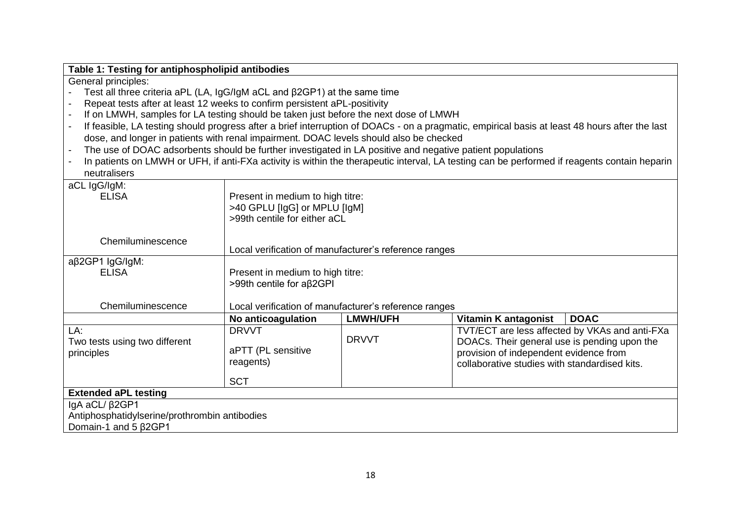| Table 1: Testing for antiphospholipid antibodies                                                          |                                                       |                 |                                                                                                                                                |  |
|-----------------------------------------------------------------------------------------------------------|-------------------------------------------------------|-----------------|------------------------------------------------------------------------------------------------------------------------------------------------|--|
| General principles:                                                                                       |                                                       |                 |                                                                                                                                                |  |
| Test all three criteria aPL (LA, IgG/IgM aCL and $\beta$ 2GP1) at the same time                           |                                                       |                 |                                                                                                                                                |  |
| Repeat tests after at least 12 weeks to confirm persistent aPL-positivity                                 |                                                       |                 |                                                                                                                                                |  |
| If on LMWH, samples for LA testing should be taken just before the next dose of LMWH                      |                                                       |                 |                                                                                                                                                |  |
|                                                                                                           |                                                       |                 | If feasible, LA testing should progress after a brief interruption of DOACs - on a pragmatic, empirical basis at least 48 hours after the last |  |
| dose, and longer in patients with renal impairment. DOAC levels should also be checked                    |                                                       |                 |                                                                                                                                                |  |
| The use of DOAC adsorbents should be further investigated in LA positive and negative patient populations |                                                       |                 |                                                                                                                                                |  |
|                                                                                                           |                                                       |                 | In patients on LMWH or UFH, if anti-FXa activity is within the therapeutic interval, LA testing can be performed if reagents contain heparin   |  |
| neutralisers                                                                                              |                                                       |                 |                                                                                                                                                |  |
| aCL IgG/IgM:                                                                                              |                                                       |                 |                                                                                                                                                |  |
| <b>ELISA</b>                                                                                              | Present in medium to high titre:                      |                 |                                                                                                                                                |  |
|                                                                                                           | >40 GPLU [IgG] or MPLU [IgM]                          |                 |                                                                                                                                                |  |
|                                                                                                           | >99th centile for either aCL                          |                 |                                                                                                                                                |  |
|                                                                                                           |                                                       |                 |                                                                                                                                                |  |
| Chemiluminescence                                                                                         |                                                       |                 |                                                                                                                                                |  |
|                                                                                                           | Local verification of manufacturer's reference ranges |                 |                                                                                                                                                |  |
| aβ2GP1 lgG/lgM:                                                                                           |                                                       |                 |                                                                                                                                                |  |
| <b>ELISA</b>                                                                                              | Present in medium to high titre:                      |                 |                                                                                                                                                |  |
|                                                                                                           | >99th centile for aβ2GPI                              |                 |                                                                                                                                                |  |
|                                                                                                           |                                                       |                 |                                                                                                                                                |  |
| Chemiluminescence                                                                                         | Local verification of manufacturer's reference ranges |                 |                                                                                                                                                |  |
|                                                                                                           | No anticoagulation                                    | <b>LMWH/UFH</b> | Vitamin K antagonist<br><b>DOAC</b>                                                                                                            |  |
| LA:                                                                                                       | <b>DRVVT</b>                                          |                 | TVT/ECT are less affected by VKAs and anti-FXa                                                                                                 |  |
| Two tests using two different                                                                             |                                                       | <b>DRVVT</b>    | DOACs. Their general use is pending upon the                                                                                                   |  |
| principles                                                                                                | aPTT (PL sensitive                                    |                 | provision of independent evidence from                                                                                                         |  |
|                                                                                                           | reagents)                                             |                 | collaborative studies with standardised kits.                                                                                                  |  |
|                                                                                                           | <b>SCT</b>                                            |                 |                                                                                                                                                |  |
| <b>Extended aPL testing</b>                                                                               |                                                       |                 |                                                                                                                                                |  |
| IgA aCL/ $\beta$ 2GP1                                                                                     |                                                       |                 |                                                                                                                                                |  |
| Antiphosphatidylserine/prothrombin antibodies                                                             |                                                       |                 |                                                                                                                                                |  |
|                                                                                                           |                                                       |                 |                                                                                                                                                |  |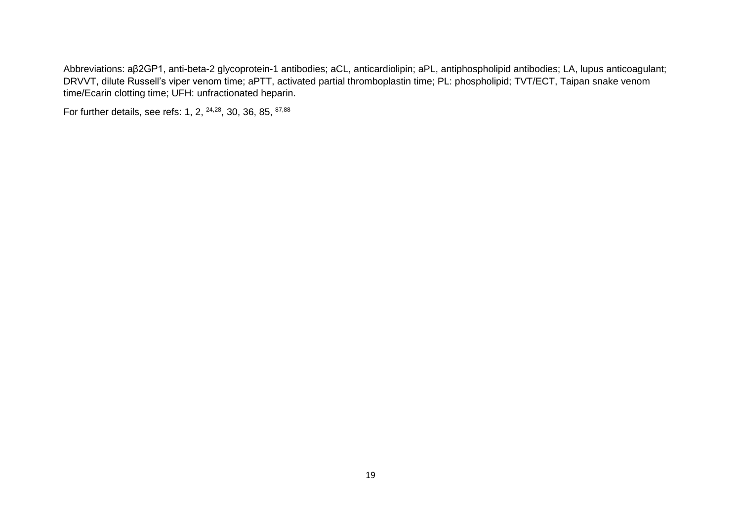Abbreviations: aβ2GP1, anti-beta-2 glycoprotein-1 antibodies; aCL, anticardiolipin; aPL, antiphospholipid antibodies; LA, lupus anticoagulant; DRVVT, dilute Russell's viper venom time; aPTT, activated partial thromboplastin time; PL: phospholipid; TVT/ECT, Taipan snake venom time/Ecarin clotting time; UFH: unfractionated heparin.

For further details, see refs: 1, 2, <sup>24,28</sup>, 30, 36, 85, <sup>87,88</sup>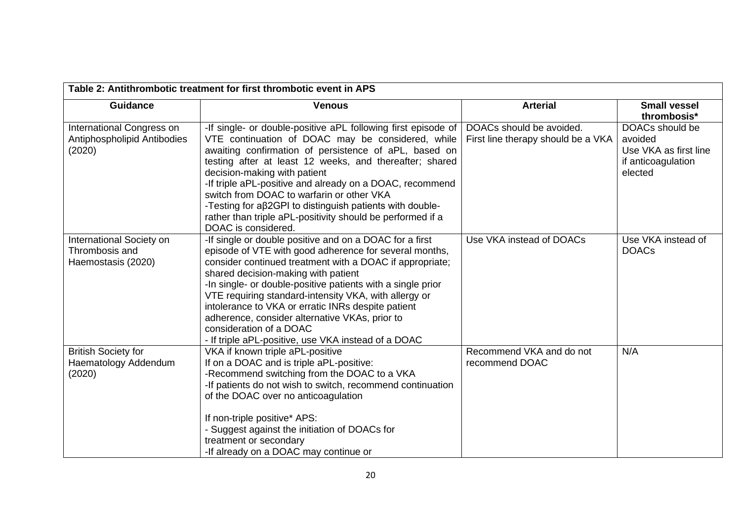| Table 2: Antithrombotic treatment for first thrombotic event in APS |                                                                                                                                                                                                                                                                                                                                                                                                                                                                                                                                        |                                                                |                                                                                      |
|---------------------------------------------------------------------|----------------------------------------------------------------------------------------------------------------------------------------------------------------------------------------------------------------------------------------------------------------------------------------------------------------------------------------------------------------------------------------------------------------------------------------------------------------------------------------------------------------------------------------|----------------------------------------------------------------|--------------------------------------------------------------------------------------|
| <b>Guidance</b>                                                     | <b>Venous</b>                                                                                                                                                                                                                                                                                                                                                                                                                                                                                                                          | <b>Arterial</b>                                                | <b>Small vessel</b><br>thrombosis*                                                   |
| International Congress on<br>Antiphospholipid Antibodies<br>(2020)  | -If single- or double-positive aPL following first episode of<br>VTE continuation of DOAC may be considered, while<br>awaiting confirmation of persistence of aPL, based on<br>testing after at least 12 weeks, and thereafter; shared<br>decision-making with patient<br>-If triple aPL-positive and already on a DOAC, recommend<br>switch from DOAC to warfarin or other VKA<br>-Testing for aβ2GPI to distinguish patients with double-<br>rather than triple aPL-positivity should be performed if a<br>DOAC is considered.       | DOACs should be avoided.<br>First line therapy should be a VKA | DOACs should be<br>avoided<br>Use VKA as first line<br>if anticoagulation<br>elected |
| International Society on<br>Thrombosis and<br>Haemostasis (2020)    | -If single or double positive and on a DOAC for a first<br>episode of VTE with good adherence for several months,<br>consider continued treatment with a DOAC if appropriate;<br>shared decision-making with patient<br>-In single- or double-positive patients with a single prior<br>VTE requiring standard-intensity VKA, with allergy or<br>intolerance to VKA or erratic INRs despite patient<br>adherence, consider alternative VKAs, prior to<br>consideration of a DOAC<br>- If triple aPL-positive, use VKA instead of a DOAC | Use VKA instead of DOACs                                       | Use VKA instead of<br><b>DOACs</b>                                                   |
| <b>British Society for</b><br>Haematology Addendum<br>(2020)        | VKA if known triple aPL-positive<br>If on a DOAC and is triple aPL-positive:<br>-Recommend switching from the DOAC to a VKA<br>-If patients do not wish to switch, recommend continuation<br>of the DOAC over no anticoagulation<br>If non-triple positive* APS:<br>- Suggest against the initiation of DOACs for<br>treatment or secondary<br>-If already on a DOAC may continue or                                                                                                                                                   | Recommend VKA and do not<br>recommend DOAC                     | N/A                                                                                  |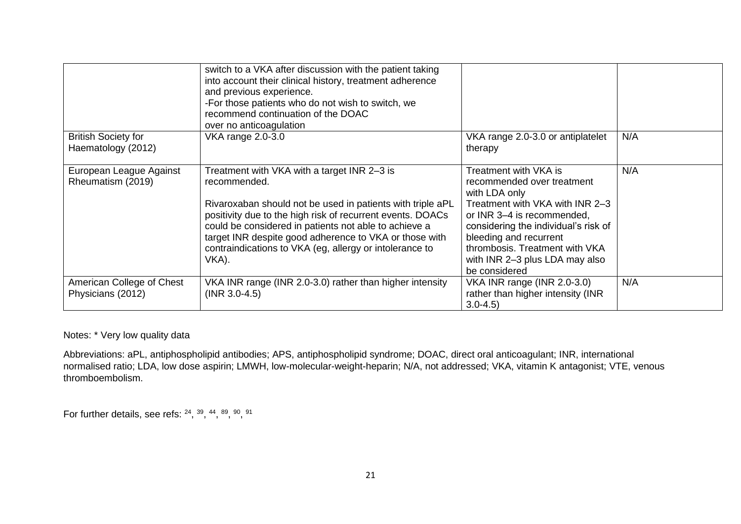|                                                  | switch to a VKA after discussion with the patient taking<br>into account their clinical history, treatment adherence<br>and previous experience.<br>-For those patients who do not wish to switch, we<br>recommend continuation of the DOAC<br>over no anticoagulation                                                                                                         |                                                                                                                                                                                                                                                                                              |     |
|--------------------------------------------------|--------------------------------------------------------------------------------------------------------------------------------------------------------------------------------------------------------------------------------------------------------------------------------------------------------------------------------------------------------------------------------|----------------------------------------------------------------------------------------------------------------------------------------------------------------------------------------------------------------------------------------------------------------------------------------------|-----|
| <b>British Society for</b><br>Haematology (2012) | VKA range 2.0-3.0                                                                                                                                                                                                                                                                                                                                                              | VKA range 2.0-3.0 or antiplatelet<br>therapy                                                                                                                                                                                                                                                 | N/A |
| European League Against<br>Rheumatism (2019)     | Treatment with VKA with a target INR 2-3 is<br>recommended.<br>Rivaroxaban should not be used in patients with triple aPL<br>positivity due to the high risk of recurrent events. DOACs<br>could be considered in patients not able to achieve a<br>target INR despite good adherence to VKA or those with<br>contraindications to VKA (eg, allergy or intolerance to<br>VKA). | Treatment with VKA is<br>recommended over treatment<br>with LDA only<br>Treatment with VKA with INR 2-3<br>or INR 3-4 is recommended,<br>considering the individual's risk of<br>bleeding and recurrent<br>thrombosis. Treatment with VKA<br>with INR 2-3 plus LDA may also<br>be considered | N/A |
| American College of Chest<br>Physicians (2012)   | VKA INR range (INR 2.0-3.0) rather than higher intensity<br>$(INR 3.0-4.5)$                                                                                                                                                                                                                                                                                                    | VKA INR range (INR 2.0-3.0)<br>rather than higher intensity (INR<br>$3.0 - 4.5$                                                                                                                                                                                                              | N/A |

Notes: \* Very low quality data

Abbreviations: aPL, antiphospholipid antibodies; APS, antiphospholipid syndrome; DOAC, direct oral anticoagulant; INR, international normalised ratio; LDA, low dose aspirin; LMWH, low-molecular-weight-heparin; N/A, not addressed; VKA, vitamin K antagonist; VTE, venous thromboembolism.

For further details, see refs:  $24, 39, 44, 89, 90, 91$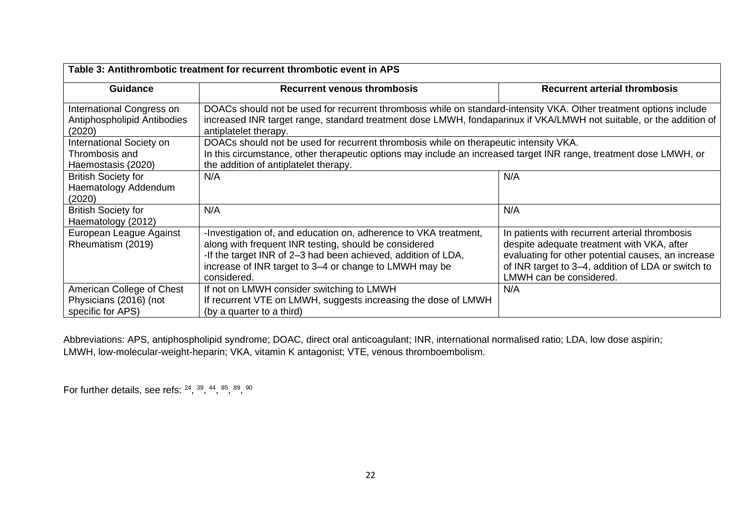| Table 3: Antithrombotic treatment for recurrent thrombotic event in APS  |                                                                                                                                                                                                                                                                     |                                                                                                                                                                                                                                     |  |  |
|--------------------------------------------------------------------------|---------------------------------------------------------------------------------------------------------------------------------------------------------------------------------------------------------------------------------------------------------------------|-------------------------------------------------------------------------------------------------------------------------------------------------------------------------------------------------------------------------------------|--|--|
| <b>Guidance</b>                                                          | <b>Recurrent venous thrombosis</b>                                                                                                                                                                                                                                  | <b>Recurrent arterial thrombosis</b>                                                                                                                                                                                                |  |  |
| International Congress on<br>Antiphospholipid Antibodies<br>(2020)       | DOACs should not be used for recurrent thrombosis while on standard-intensity VKA. Other treatment options include<br>increased INR target range, standard treatment dose LMWH, fondaparinux if VKA/LMWH not suitable, or the addition of<br>antiplatelet therapy.  |                                                                                                                                                                                                                                     |  |  |
| International Society on<br>Thrombosis and<br>Haemostasis (2020)         | DOACs should not be used for recurrent thrombosis while on therapeutic intensity VKA.<br>In this circumstance, other therapeutic options may include an increased target INR range, treatment dose LMWH, or<br>the addition of antiplatelet therapy.                |                                                                                                                                                                                                                                     |  |  |
| <b>British Society for</b><br>Haematology Addendum<br>(2020)             | N/A                                                                                                                                                                                                                                                                 | N/A                                                                                                                                                                                                                                 |  |  |
| <b>British Society for</b><br>Haematology (2012)                         | N/A                                                                                                                                                                                                                                                                 | N/A                                                                                                                                                                                                                                 |  |  |
| European League Against<br>Rheumatism (2019)                             | -Investigation of, and education on, adherence to VKA treatment,<br>along with frequent INR testing, should be considered<br>-If the target INR of 2-3 had been achieved, addition of LDA,<br>increase of INR target to 3-4 or change to LMWH may be<br>considered. | In patients with recurrent arterial thrombosis<br>despite adequate treatment with VKA, after<br>evaluating for other potential causes, an increase<br>of INR target to 3-4, addition of LDA or switch to<br>LMWH can be considered. |  |  |
| American College of Chest<br>Physicians (2016) (not<br>specific for APS) | If not on LMWH consider switching to LMWH<br>If recurrent VTE on LMWH, suggests increasing the dose of LMWH<br>(by a quarter to a third)                                                                                                                            | N/A                                                                                                                                                                                                                                 |  |  |

Abbreviations: APS, antiphospholipid syndrome; DOAC, direct oral anticoagulant; INR, international normalised ratio; LDA, low dose aspirin; LMWH, low-molecular-weight-heparin; VKA, vitamin K antagonist; VTE, venous thromboembolism.

For further details, see refs:  $24, 39, 44, 85, 89, 90$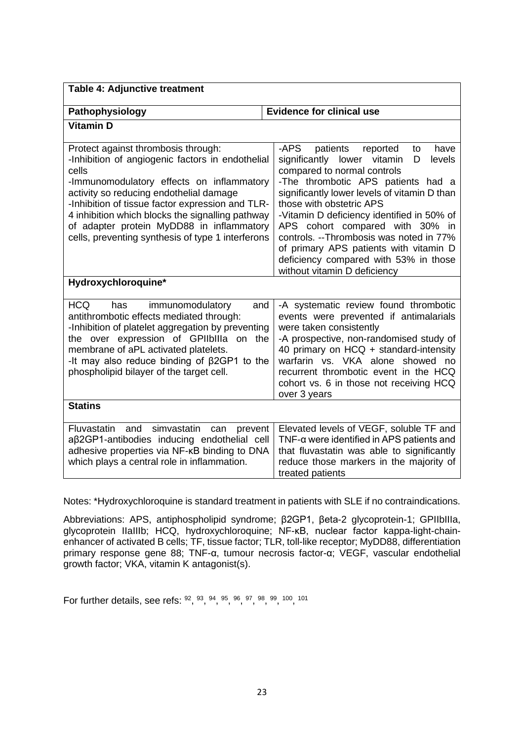| Table 4: Adjunctive treatment                                                                                                                                                                                                                                                                                                                                                                      |                                                                                                                                                                                                                                                                                                                                                                                                                                                                                          |  |  |  |
|----------------------------------------------------------------------------------------------------------------------------------------------------------------------------------------------------------------------------------------------------------------------------------------------------------------------------------------------------------------------------------------------------|------------------------------------------------------------------------------------------------------------------------------------------------------------------------------------------------------------------------------------------------------------------------------------------------------------------------------------------------------------------------------------------------------------------------------------------------------------------------------------------|--|--|--|
| Pathophysiology                                                                                                                                                                                                                                                                                                                                                                                    | <b>Evidence for clinical use</b>                                                                                                                                                                                                                                                                                                                                                                                                                                                         |  |  |  |
| <b>Vitamin D</b>                                                                                                                                                                                                                                                                                                                                                                                   |                                                                                                                                                                                                                                                                                                                                                                                                                                                                                          |  |  |  |
| Protect against thrombosis through:<br>-Inhibition of angiogenic factors in endothelial<br>cells<br>-Immunomodulatory effects on inflammatory<br>activity so reducing endothelial damage<br>-Inhibition of tissue factor expression and TLR-<br>4 inhibition which blocks the signalling pathway<br>of adapter protein MyDD88 in inflammatory<br>cells, preventing synthesis of type 1 interferons | -APS<br>patients<br>reported<br>have<br>to<br>significantly lower vitamin<br>levels<br>D<br>compared to normal controls<br>-The thrombotic APS patients had a<br>significantly lower levels of vitamin D than<br>those with obstetric APS<br>-Vitamin D deficiency identified in 50% of<br>APS cohort compared with 30% in<br>controls. --Thrombosis was noted in 77%<br>of primary APS patients with vitamin D<br>deficiency compared with 53% in those<br>without vitamin D deficiency |  |  |  |
| Hydroxychloroquine*                                                                                                                                                                                                                                                                                                                                                                                |                                                                                                                                                                                                                                                                                                                                                                                                                                                                                          |  |  |  |
| <b>HCQ</b><br>has<br>immunomodulatory<br>and<br>antithrombotic effects mediated through:<br>-Inhibition of platelet aggregation by preventing<br>the over expression of GPIIbIIIa on the<br>membrane of aPL activated platelets.<br>-It may also reduce binding of $\beta$ 2GP1 to the<br>phospholipid bilayer of the target cell.                                                                 | -A systematic review found thrombotic<br>events were prevented if antimalarials<br>were taken consistently<br>-A prospective, non-randomised study of<br>40 primary on HCQ + standard-intensity<br>warfarin vs. VKA alone showed no<br>recurrent thrombotic event in the HCQ<br>cohort vs. 6 in those not receiving HCQ<br>over 3 years                                                                                                                                                  |  |  |  |
| <b>Statins</b>                                                                                                                                                                                                                                                                                                                                                                                     |                                                                                                                                                                                                                                                                                                                                                                                                                                                                                          |  |  |  |
| and<br>simvastatin<br>Fluvastatin<br>can<br>prevent<br>aβ2GP1-antibodies inducing endothelial cell<br>adhesive properties via NF-KB binding to DNA<br>which plays a central role in inflammation.                                                                                                                                                                                                  | Elevated levels of VEGF, soluble TF and<br>TNF-a were identified in APS patients and<br>that fluvastatin was able to significantly<br>reduce those markers in the majority of<br>treated patients                                                                                                                                                                                                                                                                                        |  |  |  |

Notes: \*Hydroxychloroquine is standard treatment in patients with SLE if no contraindications.

Abbreviations: APS, antiphospholipid syndrome; β2GP1, βeta-2 glycoprotein-1; GPIIbIIIa, glycoprotein IIaIIIb; HCQ, hydroxychloroquine; NF-κB, nuclear factor kappa-light-chainenhancer of activated B cells; TF, tissue factor; TLR, toll-like receptor; MyDD88, differentiation primary response gene 88; TNF-α, tumour necrosis factor-α; VEGF, vascular endothelial growth factor; VKA, vitamin K antagonist(s).

For further details, see refs:  $92, 93, 94, 95, 96, 97, 98, 99, 100, 101$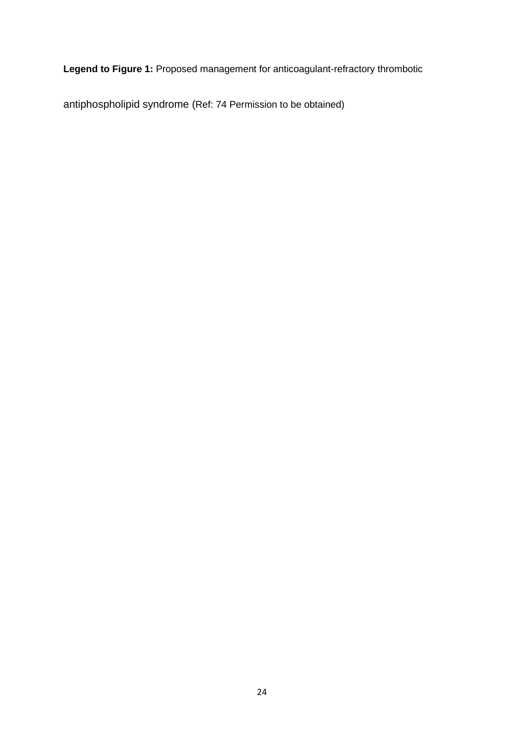**Legend to Figure 1:** Proposed management for anticoagulant-refractory thrombotic

antiphospholipid syndrome (Ref: 74 Permission to be obtained)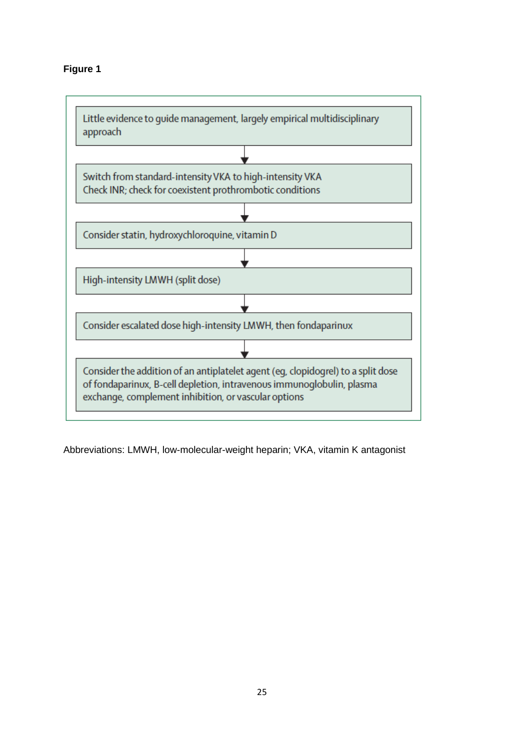

Abbreviations: LMWH, low-molecular-weight heparin; VKA, vitamin K antagonist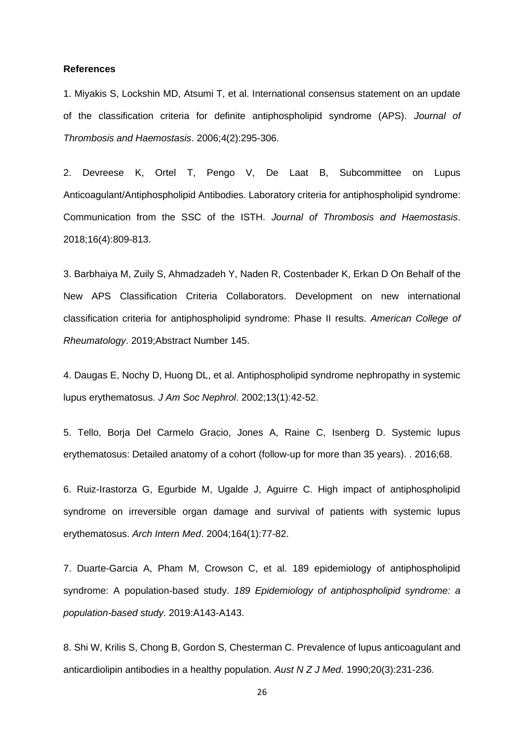#### **References**

1. Miyakis S, Lockshin MD, Atsumi T, et al. International consensus statement on an update of the classification criteria for definite antiphospholipid syndrome (APS). *Journal of Thrombosis and Haemostasis*. 2006;4(2):295-306.

2. Devreese K, Ortel T, Pengo V, De Laat B, Subcommittee on Lupus Anticoagulant/Antiphospholipid Antibodies. Laboratory criteria for antiphospholipid syndrome: Communication from the SSC of the ISTH. *Journal of Thrombosis and Haemostasis*. 2018;16(4):809-813.

3. Barbhaiya M, Zuily S, Ahmadzadeh Y, Naden R, Costenbader K, Erkan D On Behalf of the New APS Classification Criteria Collaborators. Development on new international classification criteria for antiphospholipid syndrome: Phase II results. *American College of Rheumatology*. 2019;Abstract Number 145.

4. Daugas E, Nochy D, Huong DL, et al. Antiphospholipid syndrome nephropathy in systemic lupus erythematosus. *J Am Soc Nephrol*. 2002;13(1):42-52.

5. Tello, Borja Del Carmelo Gracio, Jones A, Raine C, Isenberg D. Systemic lupus erythematosus: Detailed anatomy of a cohort (follow-up for more than 35 years). . 2016;68.

6. Ruiz-Irastorza G, Egurbide M, Ugalde J, Aguirre C. High impact of antiphospholipid syndrome on irreversible organ damage and survival of patients with systemic lupus erythematosus. *Arch Intern Med*. 2004;164(1):77-82.

7. Duarte-Garcia A, Pham M, Crowson C, et al. 189 epidemiology of antiphospholipid syndrome: A population-based study. *189 Epidemiology of antiphospholipid syndrome: a population-based study*. 2019:A143-A143.

8. Shi W, Krilis S, Chong B, Gordon S, Chesterman C. Prevalence of lupus anticoagulant and anticardiolipin antibodies in a healthy population. *Aust N Z J Med*. 1990;20(3):231-236.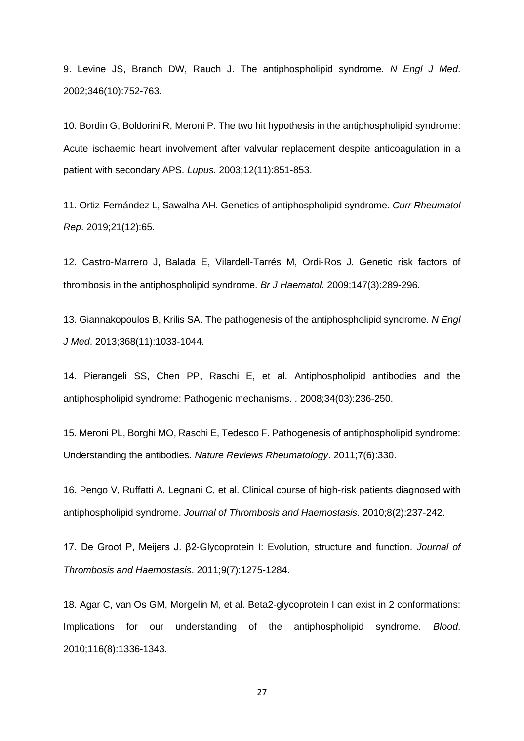9. Levine JS, Branch DW, Rauch J. The antiphospholipid syndrome. *N Engl J Med*. 2002;346(10):752-763.

10. Bordin G, Boldorini R, Meroni P. The two hit hypothesis in the antiphospholipid syndrome: Acute ischaemic heart involvement after valvular replacement despite anticoagulation in a patient with secondary APS. *Lupus*. 2003;12(11):851-853.

11. Ortiz-Fernández L, Sawalha AH. Genetics of antiphospholipid syndrome. *Curr Rheumatol Rep*. 2019;21(12):65.

12. Castro‐Marrero J, Balada E, Vilardell‐Tarrés M, Ordi‐Ros J. Genetic risk factors of thrombosis in the antiphospholipid syndrome. *Br J Haematol*. 2009;147(3):289-296.

13. Giannakopoulos B, Krilis SA. The pathogenesis of the antiphospholipid syndrome. *N Engl J Med*. 2013;368(11):1033-1044.

14. Pierangeli SS, Chen PP, Raschi E, et al. Antiphospholipid antibodies and the antiphospholipid syndrome: Pathogenic mechanisms. . 2008;34(03):236-250.

15. Meroni PL, Borghi MO, Raschi E, Tedesco F. Pathogenesis of antiphospholipid syndrome: Understanding the antibodies. *Nature Reviews Rheumatology*. 2011;7(6):330.

16. Pengo V, Ruffatti A, Legnani C, et al. Clinical course of high-risk patients diagnosed with antiphospholipid syndrome. *Journal of Thrombosis and Haemostasis*. 2010;8(2):237-242.

17. De Groot P, Meijers J. β2‐Glycoprotein I: Evolution, structure and function. *Journal of Thrombosis and Haemostasis*. 2011;9(7):1275-1284.

18. Agar C, van Os GM, Morgelin M, et al. Beta2-glycoprotein I can exist in 2 conformations: Implications for our understanding of the antiphospholipid syndrome. *Blood*. 2010;116(8):1336-1343.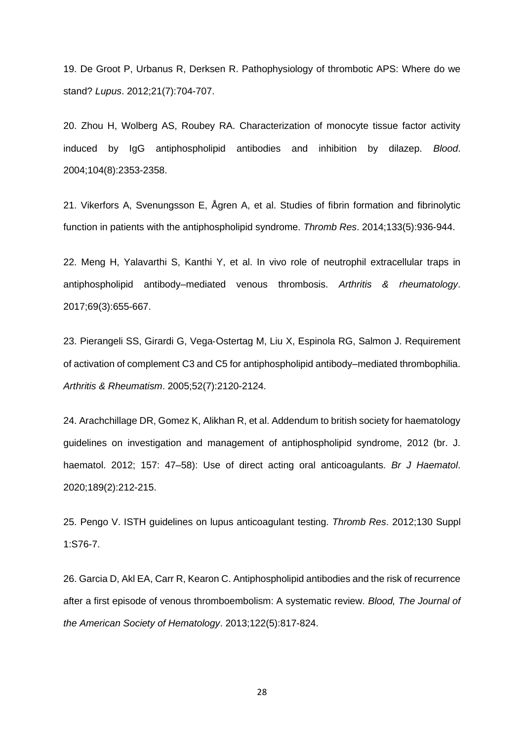19. De Groot P, Urbanus R, Derksen R. Pathophysiology of thrombotic APS: Where do we stand? *Lupus*. 2012;21(7):704-707.

20. Zhou H, Wolberg AS, Roubey RA. Characterization of monocyte tissue factor activity induced by IgG antiphospholipid antibodies and inhibition by dilazep. *Blood*. 2004;104(8):2353-2358.

21. Vikerfors A, Svenungsson E, Ågren A, et al. Studies of fibrin formation and fibrinolytic function in patients with the antiphospholipid syndrome. *Thromb Res*. 2014;133(5):936-944.

22. Meng H, Yalavarthi S, Kanthi Y, et al. In vivo role of neutrophil extracellular traps in antiphospholipid antibody–mediated venous thrombosis. *Arthritis & rheumatology*. 2017;69(3):655-667.

23. Pierangeli SS, Girardi G, Vega‐Ostertag M, Liu X, Espinola RG, Salmon J. Requirement of activation of complement C3 and C5 for antiphospholipid antibody–mediated thrombophilia. *Arthritis & Rheumatism*. 2005;52(7):2120-2124.

24. Arachchillage DR, Gomez K, Alikhan R, et al. Addendum to british society for haematology guidelines on investigation and management of antiphospholipid syndrome, 2012 (br. J. haematol. 2012; 157: 47–58): Use of direct acting oral anticoagulants. *Br J Haematol*. 2020;189(2):212-215.

25. Pengo V. ISTH guidelines on lupus anticoagulant testing. *Thromb Res*. 2012;130 Suppl 1:S76-7.

26. Garcia D, Akl EA, Carr R, Kearon C. Antiphospholipid antibodies and the risk of recurrence after a first episode of venous thromboembolism: A systematic review. *Blood, The Journal of the American Society of Hematology*. 2013;122(5):817-824.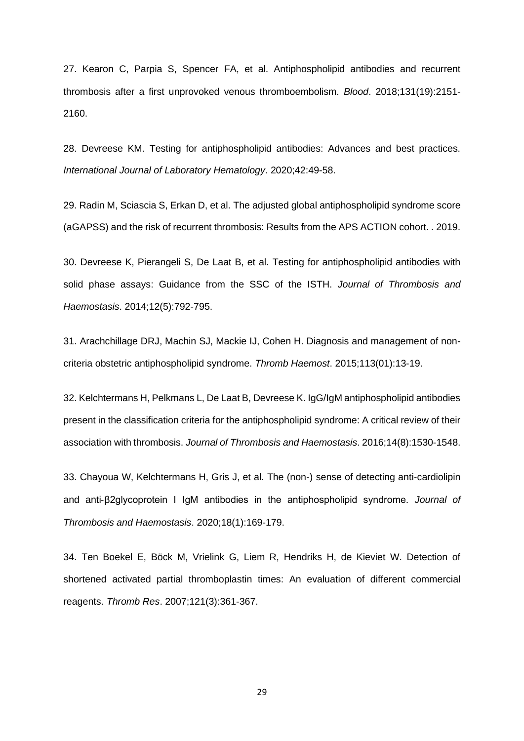27. Kearon C, Parpia S, Spencer FA, et al. Antiphospholipid antibodies and recurrent thrombosis after a first unprovoked venous thromboembolism. *Blood*. 2018;131(19):2151- 2160.

28. Devreese KM. Testing for antiphospholipid antibodies: Advances and best practices. *International Journal of Laboratory Hematology*. 2020;42:49-58.

29. Radin M, Sciascia S, Erkan D, et al. The adjusted global antiphospholipid syndrome score (aGAPSS) and the risk of recurrent thrombosis: Results from the APS ACTION cohort. . 2019.

30. Devreese K, Pierangeli S, De Laat B, et al. Testing for antiphospholipid antibodies with solid phase assays: Guidance from the SSC of the ISTH. *Journal of Thrombosis and Haemostasis*. 2014;12(5):792-795.

31. Arachchillage DRJ, Machin SJ, Mackie IJ, Cohen H. Diagnosis and management of noncriteria obstetric antiphospholipid syndrome. *Thromb Haemost*. 2015;113(01):13-19.

32. Kelchtermans H, Pelkmans L, De Laat B, Devreese K. IgG/IgM antiphospholipid antibodies present in the classification criteria for the antiphospholipid syndrome: A critical review of their association with thrombosis. *Journal of Thrombosis and Haemostasis*. 2016;14(8):1530-1548.

33. Chayoua W, Kelchtermans H, Gris J, et al. The (non‐) sense of detecting anti‐cardiolipin and anti‐β2glycoprotein I IgM antibodies in the antiphospholipid syndrome. *Journal of Thrombosis and Haemostasis*. 2020;18(1):169-179.

34. Ten Boekel E, Böck M, Vrielink G, Liem R, Hendriks H, de Kieviet W. Detection of shortened activated partial thromboplastin times: An evaluation of different commercial reagents. *Thromb Res*. 2007;121(3):361-367.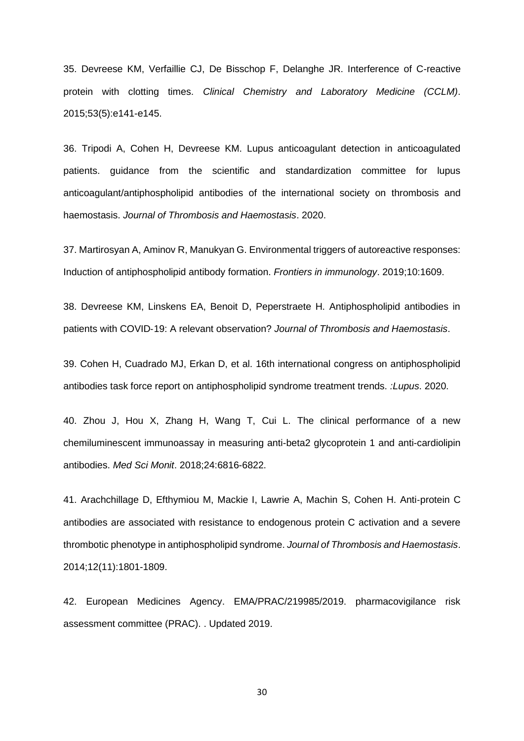35. Devreese KM, Verfaillie CJ, De Bisschop F, Delanghe JR. Interference of C-reactive protein with clotting times. *Clinical Chemistry and Laboratory Medicine (CCLM)*. 2015;53(5):e141-e145.

36. Tripodi A, Cohen H, Devreese KM. Lupus anticoagulant detection in anticoagulated patients. guidance from the scientific and standardization committee for lupus anticoagulant/antiphospholipid antibodies of the international society on thrombosis and haemostasis. *Journal of Thrombosis and Haemostasis*. 2020.

37. Martirosyan A, Aminov R, Manukyan G. Environmental triggers of autoreactive responses: Induction of antiphospholipid antibody formation. *Frontiers in immunology*. 2019;10:1609.

38. Devreese KM, Linskens EA, Benoit D, Peperstraete H. Antiphospholipid antibodies in patients with COVID‐19: A relevant observation? *Journal of Thrombosis and Haemostasis*.

39. Cohen H, Cuadrado MJ, Erkan D, et al. 16th international congress on antiphospholipid antibodies task force report on antiphospholipid syndrome treatment trends. *:Lupus*. 2020.

40. Zhou J, Hou X, Zhang H, Wang T, Cui L. The clinical performance of a new chemiluminescent immunoassay in measuring anti-beta2 glycoprotein 1 and anti-cardiolipin antibodies. *Med Sci Monit*. 2018;24:6816-6822.

41. Arachchillage D, Efthymiou M, Mackie I, Lawrie A, Machin S, Cohen H. Anti‐protein C antibodies are associated with resistance to endogenous protein C activation and a severe thrombotic phenotype in antiphospholipid syndrome. *Journal of Thrombosis and Haemostasis*. 2014;12(11):1801-1809.

42. European Medicines Agency. EMA/PRAC/219985/2019. pharmacovigilance risk assessment committee (PRAC). . Updated 2019.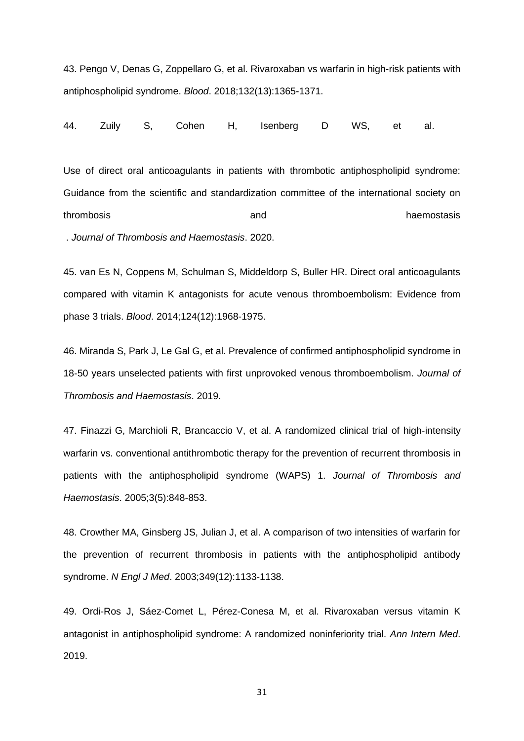43. Pengo V, Denas G, Zoppellaro G, et al. Rivaroxaban vs warfarin in high-risk patients with antiphospholipid syndrome. *Blood*. 2018;132(13):1365-1371.

44. Zuily S, Cohen H, Isenberg D WS, et al.

Use of direct oral anticoagulants in patients with thrombotic antiphospholipid syndrome: Guidance from the scientific and standardization committee of the international society on thrombosis and haemostasis and haemostasis and haemostasis and haemostasis

. *Journal of Thrombosis and Haemostasis*. 2020.

45. van Es N, Coppens M, Schulman S, Middeldorp S, Buller HR. Direct oral anticoagulants compared with vitamin K antagonists for acute venous thromboembolism: Evidence from phase 3 trials. *Blood*. 2014;124(12):1968-1975.

46. Miranda S, Park J, Le Gal G, et al. Prevalence of confirmed antiphospholipid syndrome in 18‐50 years unselected patients with first unprovoked venous thromboembolism. *Journal of Thrombosis and Haemostasis*. 2019.

47. Finazzi G, Marchioli R, Brancaccio V, et al. A randomized clinical trial of high-intensity warfarin vs. conventional antithrombotic therapy for the prevention of recurrent thrombosis in patients with the antiphospholipid syndrome (WAPS) 1. *Journal of Thrombosis and Haemostasis*. 2005;3(5):848-853.

48. Crowther MA, Ginsberg JS, Julian J, et al. A comparison of two intensities of warfarin for the prevention of recurrent thrombosis in patients with the antiphospholipid antibody syndrome. *N Engl J Med*. 2003;349(12):1133-1138.

49. Ordi-Ros J, Sáez-Comet L, Pérez-Conesa M, et al. Rivaroxaban versus vitamin K antagonist in antiphospholipid syndrome: A randomized noninferiority trial. *Ann Intern Med*. 2019.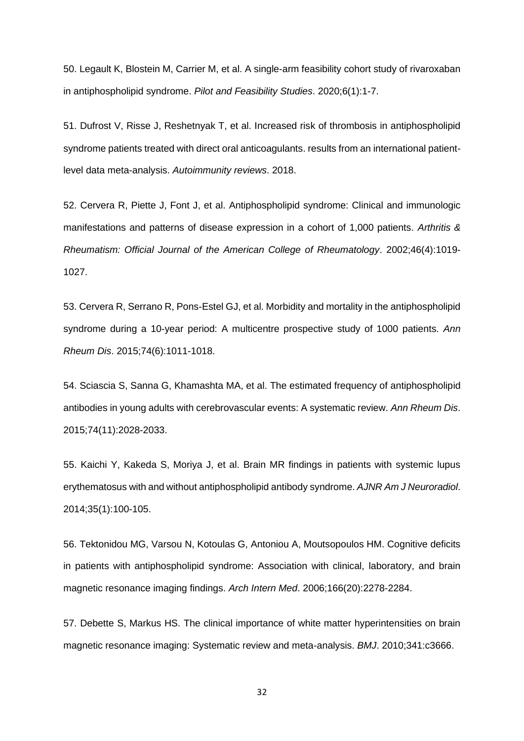50. Legault K, Blostein M, Carrier M, et al. A single-arm feasibility cohort study of rivaroxaban in antiphospholipid syndrome. *Pilot and Feasibility Studies*. 2020;6(1):1-7.

51. Dufrost V, Risse J, Reshetnyak T, et al. Increased risk of thrombosis in antiphospholipid syndrome patients treated with direct oral anticoagulants. results from an international patientlevel data meta-analysis. *Autoimmunity reviews*. 2018.

52. Cervera R, Piette J, Font J, et al. Antiphospholipid syndrome: Clinical and immunologic manifestations and patterns of disease expression in a cohort of 1,000 patients. *Arthritis & Rheumatism: Official Journal of the American College of Rheumatology*. 2002;46(4):1019- 1027.

53. Cervera R, Serrano R, Pons-Estel GJ, et al. Morbidity and mortality in the antiphospholipid syndrome during a 10-year period: A multicentre prospective study of 1000 patients. *Ann Rheum Dis*. 2015;74(6):1011-1018.

54. Sciascia S, Sanna G, Khamashta MA, et al. The estimated frequency of antiphospholipid antibodies in young adults with cerebrovascular events: A systematic review. *Ann Rheum Dis*. 2015;74(11):2028-2033.

55. Kaichi Y, Kakeda S, Moriya J, et al. Brain MR findings in patients with systemic lupus erythematosus with and without antiphospholipid antibody syndrome. *AJNR Am J Neuroradiol*. 2014;35(1):100-105.

56. Tektonidou MG, Varsou N, Kotoulas G, Antoniou A, Moutsopoulos HM. Cognitive deficits in patients with antiphospholipid syndrome: Association with clinical, laboratory, and brain magnetic resonance imaging findings. *Arch Intern Med*. 2006;166(20):2278-2284.

57. Debette S, Markus HS. The clinical importance of white matter hyperintensities on brain magnetic resonance imaging: Systematic review and meta-analysis. *BMJ*. 2010;341:c3666.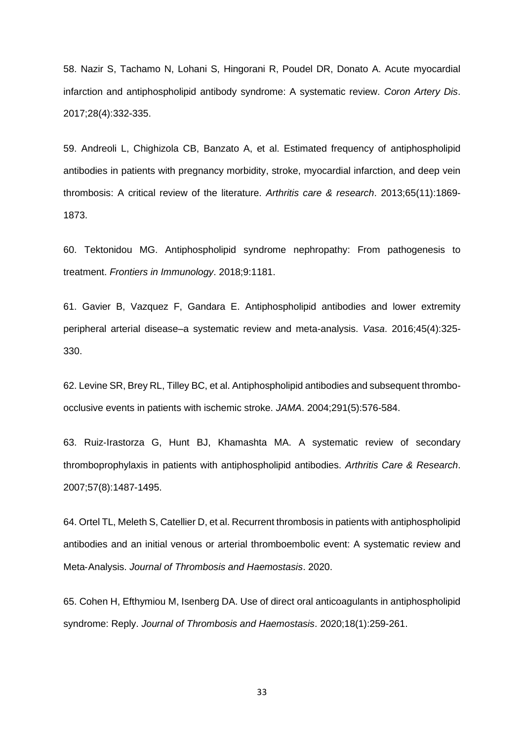58. Nazir S, Tachamo N, Lohani S, Hingorani R, Poudel DR, Donato A. Acute myocardial infarction and antiphospholipid antibody syndrome: A systematic review. *Coron Artery Dis*. 2017;28(4):332-335.

59. Andreoli L, Chighizola CB, Banzato A, et al. Estimated frequency of antiphospholipid antibodies in patients with pregnancy morbidity, stroke, myocardial infarction, and deep vein thrombosis: A critical review of the literature. *Arthritis care & research*. 2013;65(11):1869- 1873.

60. Tektonidou MG. Antiphospholipid syndrome nephropathy: From pathogenesis to treatment. *Frontiers in Immunology*. 2018;9:1181.

61. Gavier B, Vazquez F, Gandara E. Antiphospholipid antibodies and lower extremity peripheral arterial disease–a systematic review and meta-analysis. *Vasa*. 2016;45(4):325- 330.

62. Levine SR, Brey RL, Tilley BC, et al. Antiphospholipid antibodies and subsequent thromboocclusive events in patients with ischemic stroke. *JAMA*. 2004;291(5):576-584.

63. Ruiz‐Irastorza G, Hunt BJ, Khamashta MA. A systematic review of secondary thromboprophylaxis in patients with antiphospholipid antibodies. *Arthritis Care & Research*. 2007;57(8):1487-1495.

64. Ortel TL, Meleth S, Catellier D, et al. Recurrent thrombosis in patients with antiphospholipid antibodies and an initial venous or arterial thromboembolic event: A systematic review and Meta‐Analysis. *Journal of Thrombosis and Haemostasis*. 2020.

65. Cohen H, Efthymiou M, Isenberg DA. Use of direct oral anticoagulants in antiphospholipid syndrome: Reply. *Journal of Thrombosis and Haemostasis*. 2020;18(1):259-261.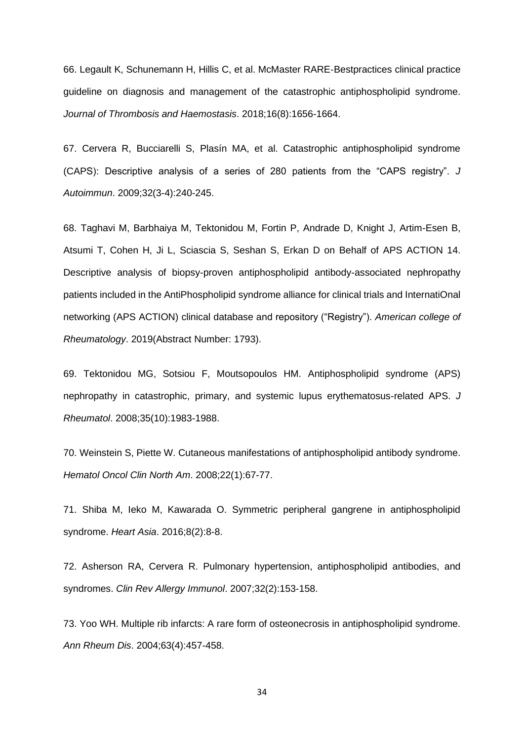66. Legault K, Schunemann H, Hillis C, et al. McMaster RARE‐Bestpractices clinical practice guideline on diagnosis and management of the catastrophic antiphospholipid syndrome. *Journal of Thrombosis and Haemostasis*. 2018;16(8):1656-1664.

67. Cervera R, Bucciarelli S, Plasín MA, et al. Catastrophic antiphospholipid syndrome (CAPS): Descriptive analysis of a series of 280 patients from the "CAPS registry". *J Autoimmun*. 2009;32(3-4):240-245.

68. Taghavi M, Barbhaiya M, Tektonidou M, Fortin P, Andrade D, Knight J, Artim-Esen B, Atsumi T, Cohen H, Ji L, Sciascia S, Seshan S, Erkan D on Behalf of APS ACTION 14. Descriptive analysis of biopsy-proven antiphospholipid antibody-associated nephropathy patients included in the AntiPhospholipid syndrome alliance for clinical trials and InternatiOnal networking (APS ACTION) clinical database and repository ("Registry"). *American college of Rheumatology*. 2019(Abstract Number: 1793).

69. Tektonidou MG, Sotsiou F, Moutsopoulos HM. Antiphospholipid syndrome (APS) nephropathy in catastrophic, primary, and systemic lupus erythematosus-related APS. *J Rheumatol*. 2008;35(10):1983-1988.

70. Weinstein S, Piette W. Cutaneous manifestations of antiphospholipid antibody syndrome. *Hematol Oncol Clin North Am*. 2008;22(1):67-77.

71. Shiba M, Ieko M, Kawarada O. Symmetric peripheral gangrene in antiphospholipid syndrome. *Heart Asia*. 2016;8(2):8-8.

72. Asherson RA, Cervera R. Pulmonary hypertension, antiphospholipid antibodies, and syndromes. *Clin Rev Allergy Immunol*. 2007;32(2):153-158.

73. Yoo WH. Multiple rib infarcts: A rare form of osteonecrosis in antiphospholipid syndrome. *Ann Rheum Dis*. 2004;63(4):457-458.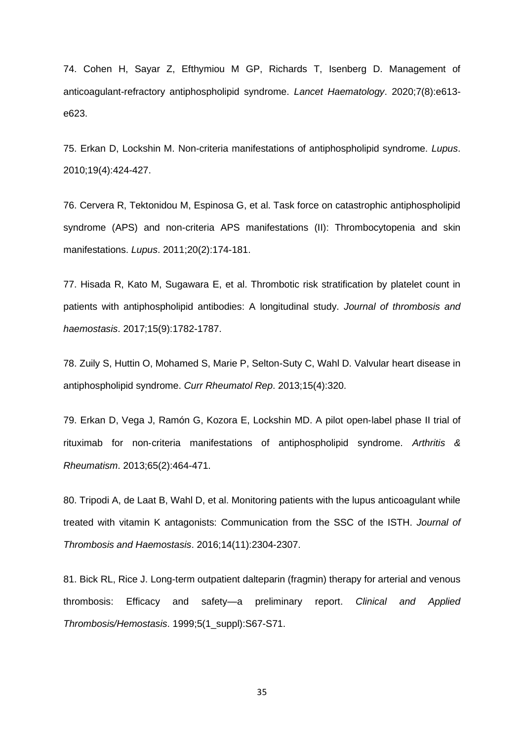74. Cohen H, Sayar Z, Efthymiou M GP, Richards T, Isenberg D. Management of anticoagulant-refractory antiphospholipid syndrome. *Lancet Haematology*. 2020;7(8):e613 e623.

75. Erkan D, Lockshin M. Non-criteria manifestations of antiphospholipid syndrome. *Lupus*. 2010;19(4):424-427.

76. Cervera R, Tektonidou M, Espinosa G, et al. Task force on catastrophic antiphospholipid syndrome (APS) and non-criteria APS manifestations (II): Thrombocytopenia and skin manifestations. *Lupus*. 2011;20(2):174-181.

77. Hisada R, Kato M, Sugawara E, et al. Thrombotic risk stratification by platelet count in patients with antiphospholipid antibodies: A longitudinal study. *Journal of thrombosis and haemostasis*. 2017;15(9):1782-1787.

78. Zuily S, Huttin O, Mohamed S, Marie P, Selton-Suty C, Wahl D. Valvular heart disease in antiphospholipid syndrome. *Curr Rheumatol Rep*. 2013;15(4):320.

79. Erkan D, Vega J, Ramón G, Kozora E, Lockshin MD. A pilot open‐label phase II trial of rituximab for non‐criteria manifestations of antiphospholipid syndrome. *Arthritis & Rheumatism*. 2013;65(2):464-471.

80. Tripodi A, de Laat B, Wahl D, et al. Monitoring patients with the lupus anticoagulant while treated with vitamin K antagonists: Communication from the SSC of the ISTH. *Journal of Thrombosis and Haemostasis*. 2016;14(11):2304-2307.

81. Bick RL, Rice J. Long-term outpatient dalteparin (fragmin) therapy for arterial and venous thrombosis: Efficacy and safety—a preliminary report. *Clinical and Applied Thrombosis/Hemostasis*. 1999;5(1\_suppl):S67-S71.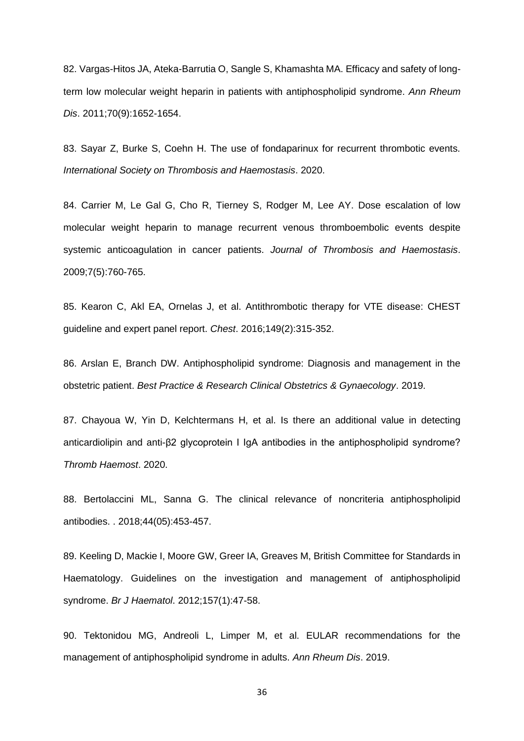82. Vargas-Hitos JA, Ateka-Barrutia O, Sangle S, Khamashta MA. Efficacy and safety of longterm low molecular weight heparin in patients with antiphospholipid syndrome. *Ann Rheum Dis*. 2011;70(9):1652-1654.

83. Sayar Z, Burke S, Coehn H. The use of fondaparinux for recurrent thrombotic events. *International Society on Thrombosis and Haemostasis*. 2020.

84. Carrier M, Le Gal G, Cho R, Tierney S, Rodger M, Lee AY. Dose escalation of low molecular weight heparin to manage recurrent venous thromboembolic events despite systemic anticoagulation in cancer patients. *Journal of Thrombosis and Haemostasis*. 2009;7(5):760-765.

85. Kearon C, Akl EA, Ornelas J, et al. Antithrombotic therapy for VTE disease: CHEST guideline and expert panel report. *Chest*. 2016;149(2):315-352.

86. Arslan E, Branch DW. Antiphospholipid syndrome: Diagnosis and management in the obstetric patient. *Best Practice & Research Clinical Obstetrics & Gynaecology*. 2019.

87. Chayoua W, Yin D, Kelchtermans H, et al. Is there an additional value in detecting anticardiolipin and anti-β2 glycoprotein I IgA antibodies in the antiphospholipid syndrome? *Thromb Haemost*. 2020.

88. Bertolaccini ML, Sanna G. The clinical relevance of noncriteria antiphospholipid antibodies. . 2018;44(05):453-457.

89. Keeling D, Mackie I, Moore GW, Greer IA, Greaves M, British Committee for Standards in Haematology. Guidelines on the investigation and management of antiphospholipid syndrome. *Br J Haematol*. 2012;157(1):47-58.

90. Tektonidou MG, Andreoli L, Limper M, et al. EULAR recommendations for the management of antiphospholipid syndrome in adults. *Ann Rheum Dis*. 2019.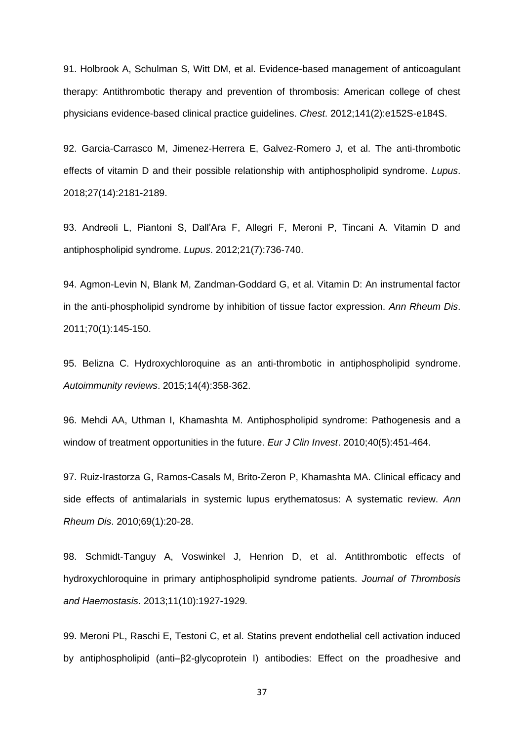91. Holbrook A, Schulman S, Witt DM, et al. Evidence-based management of anticoagulant therapy: Antithrombotic therapy and prevention of thrombosis: American college of chest physicians evidence-based clinical practice guidelines. *Chest*. 2012;141(2):e152S-e184S.

92. Garcia-Carrasco M, Jimenez-Herrera E, Galvez-Romero J, et al. The anti-thrombotic effects of vitamin D and their possible relationship with antiphospholipid syndrome. *Lupus*. 2018;27(14):2181-2189.

93. Andreoli L, Piantoni S, Dall'Ara F, Allegri F, Meroni P, Tincani A. Vitamin D and antiphospholipid syndrome. *Lupus*. 2012;21(7):736-740.

94. Agmon-Levin N, Blank M, Zandman-Goddard G, et al. Vitamin D: An instrumental factor in the anti-phospholipid syndrome by inhibition of tissue factor expression. *Ann Rheum Dis*. 2011;70(1):145-150.

95. Belizna C. Hydroxychloroquine as an anti-thrombotic in antiphospholipid syndrome. *Autoimmunity reviews*. 2015;14(4):358-362.

96. Mehdi AA, Uthman I, Khamashta M. Antiphospholipid syndrome: Pathogenesis and a window of treatment opportunities in the future. *Eur J Clin Invest*. 2010;40(5):451-464.

97. Ruiz-Irastorza G, Ramos-Casals M, Brito-Zeron P, Khamashta MA. Clinical efficacy and side effects of antimalarials in systemic lupus erythematosus: A systematic review. *Ann Rheum Dis*. 2010;69(1):20-28.

98. Schmidt-Tanguy A, Voswinkel J, Henrion D, et al. Antithrombotic effects of hydroxychloroquine in primary antiphospholipid syndrome patients. *Journal of Thrombosis and Haemostasis*. 2013;11(10):1927-1929.

99. Meroni PL, Raschi E, Testoni C, et al. Statins prevent endothelial cell activation induced by antiphospholipid (anti–β2‐glycoprotein I) antibodies: Effect on the proadhesive and